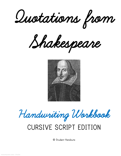Quotations from

Shakespeare



Handwriting Workbook

## CURSIVE SCRIPT EDITION

© Student Handouts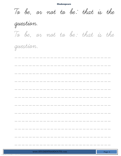To be, or not to be: that is the question. To be, or not to be: that is the question.  $\overline{\phantom{a}}$ \_ \_\_ \_\_ \_\_ \_\_ \_ \_\_ \_\_ \_\_ \_\_ - -<u>. . </u> - 1 - -\_\_\_\_\_\_\_\_\_\_\_\_\_\_\_\_\_\_\_\_\_\_\_\_\_\_\_\_\_\_\_\_\_ - -- -- -- -- -- -- -- - - $-$ \_ \_\_ \_\_ \_\_ \_\_ - -- -- -- ----------------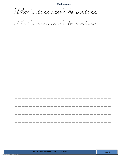Uhat's done can't be undone.

Uhat's done can't be undone.

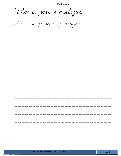What is past is prologue.

What is past is prologue.

\_ \_\_ \_\_ \_\_ \_\_ \_\_ \_\_ \_\_ \_ \_\_ \_\_ \_\_ \_\_ \_\_ \_\_ سي ب - -ست ب - -- -- -- -- --- -- -ست ب - -\_\_ - -ست ب ست س -------------------- -- -- -- -- -- -- -- -- -- -- ------------------- -- -- -- -— — ------------------ $\overline{\phantom{a}}$  $\overline{\phantom{a}}$ <u>the second contract and the second contract and second contract and second contract and second contract and second</u>  $\overline{a}$  $\overline{a}$ - -. . - -- -- - $\overline{a}$  $\overline{a}$ - -- -- -- -- -- -\_ \_\_ \_\_ \_\_ \_\_ - -- -- -- -- -- -- -- -- -- --- -- -- -- -- -- -- -\_ \_\_ \_\_ \_\_ \_\_ \_\_ \_\_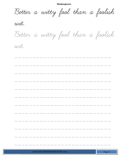Better a witty fool than a foolish

uut.

Better a witty fool than a foolish

usit.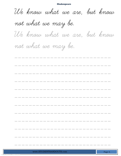**Shakespeare** We know what we are, but know not what we may be. We know what we are, but know not what we may be. د المسلم المسلم المسلم المسلم المسلم المسلم المسلم المسلم المسلم المسلم المسلم المسلم المسلم المسلم ا - -- -- -- -- -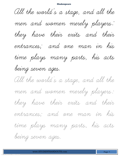All the world's a stage, and all the men and women merely players: they have their exits and their entrances; and one man in his time plays many parts, his acts being seven ages. All the world's a stage, and all the men and women merely players: they have their exits and their entrances; and one man in his time plays many parts, his acts being seven ages.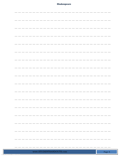tiotrist Orden 1990-999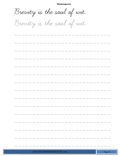Brevity is the soul of wit.

Brewity is the soul of wit.



www.STUDENTHANDOUTS.com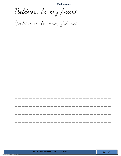Boldness be my friend.

Boldness be my friend.

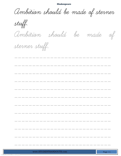Ambition should be made of sterner

stuff.

Ambition should be made of

sterner stuff.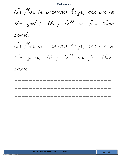As flies to wanton boys, are we to

the gods; they kill us for their

sport.

As flies to wanton boys, are we to

the gods; they kill us for their

\_\_\_\_\_\_\_\_\_\_\_\_\_\_\_\_\_\_\_\_\_\_\_\_\_\_\_

\_\_\_\_\_\_\_\_\_\_\_\_\_\_\_\_\_\_\_\_\_\_\_\_\_\_\_

\_\_\_\_\_\_\_\_\_\_\_\_\_\_\_\_\_\_\_\_\_\_\_\_\_\_\_

\_\_\_\_\_\_\_\_\_\_\_\_\_\_\_\_\_\_\_\_\_\_\_\_\_\_\_

\_\_\_\_\_\_\_\_\_\_\_\_\_\_\_\_\_\_\_\_\_\_\_\_\_\_\_

\_\_\_\_\_\_\_\_\_\_\_\_\_\_\_\_\_\_\_\_\_\_\_\_\_\_\_

\_\_\_\_\_\_\_\_\_\_\_\_\_\_\_\_\_\_\_\_\_\_\_\_\_\_\_

\_\_\_\_\_\_\_\_\_\_\_\_\_\_\_\_\_\_\_\_\_\_\_\_\_\_\_

\_\_\_\_\_\_\_\_\_\_\_\_\_\_\_\_\_\_\_\_\_\_\_\_\_\_\_

sport.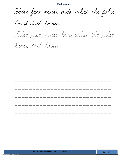False face must hide what the false

heart doth know.

False face must hide what the false

\_\_\_\_\_\_\_\_\_\_\_\_\_\_\_\_\_\_\_\_\_\_\_\_\_\_\_

heart doth know.

\_\_\_\_\_\_\_\_\_\_\_\_\_\_\_\_\_\_\_\_\_\_\_\_\_\_\_ \_\_\_\_\_\_\_\_\_\_\_\_\_\_\_\_\_\_\_\_\_\_\_\_\_\_\_ \_\_\_\_\_\_\_\_\_\_\_\_\_\_\_\_\_\_\_\_\_\_\_\_\_\_\_ \_\_\_\_\_\_\_\_\_\_\_\_\_\_\_\_\_\_\_\_\_\_\_\_\_\_\_ \_\_\_\_\_\_\_\_\_\_\_\_\_\_\_\_\_\_\_\_\_\_\_\_\_\_\_ -----------------------------\_\_\_\_\_\_\_\_\_\_\_\_\_\_\_\_\_\_\_\_\_\_\_\_\_\_\_ \_\_\_\_\_\_\_\_\_\_\_\_\_\_\_\_\_\_\_\_\_\_\_\_\_\_\_ \_\_\_\_\_\_\_\_\_\_\_\_\_\_\_\_\_\_\_\_\_\_\_\_\_\_\_ \_\_\_\_\_\_\_\_\_\_\_\_\_\_\_\_\_\_\_\_\_\_\_\_\_\_\_ \_\_\_\_\_\_\_\_\_\_\_\_\_\_\_\_\_\_\_\_\_\_\_\_\_\_\_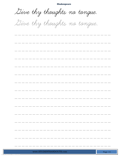Line thy thoughts no tongue.

Sine thy thoughts no tongue.

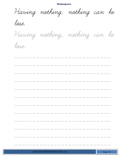Haring nothing, nothing can he

lase.

Hawing nothing, nothing can he

lose.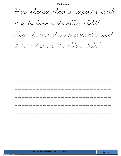How sharper than a serpent's tooth

it is to have a thankless child!



\_\_\_\_\_\_\_\_\_\_\_\_\_\_\_\_\_\_\_\_\_\_\_\_\_\_\_

\_\_\_\_\_\_\_\_\_\_\_\_\_\_\_\_\_\_\_\_\_\_\_\_\_\_\_

\_\_\_\_\_\_\_\_\_\_\_\_\_\_\_\_\_\_\_\_\_\_\_\_\_\_\_

\_\_\_\_\_\_\_\_\_\_\_\_\_\_\_\_\_\_\_\_\_\_\_\_\_\_\_

\_\_\_\_\_\_\_\_\_\_\_\_\_\_\_\_\_\_\_\_\_\_\_\_\_\_\_

\_\_\_\_\_\_\_\_\_\_\_\_\_\_\_\_\_\_\_\_\_\_\_\_\_\_\_

\_\_\_\_\_\_\_\_\_\_\_\_\_\_\_\_\_\_\_\_\_\_\_\_\_\_\_

\_\_\_\_\_\_\_\_\_\_\_\_\_\_\_\_\_\_\_\_\_\_\_\_\_\_\_

\_\_\_\_\_\_\_\_\_\_\_\_\_\_\_\_\_\_\_\_\_\_\_\_\_\_\_

\_\_\_\_\_\_\_\_\_\_\_\_\_\_\_\_\_\_\_\_\_\_\_\_\_\_\_

\_\_\_\_\_\_\_\_\_\_\_\_\_\_\_\_\_\_\_\_\_\_\_\_\_\_\_

\_\_\_\_\_\_\_\_\_\_\_\_\_\_\_\_\_\_\_\_\_\_\_\_\_\_\_

it is to have a thankless child!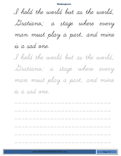I hold the world but as the world, Gratiano; a stage where every man must play a part, and mine is a sad one. I hold the world but as the world, Gratiano; a stage where every man must play a part, and mine is a sad one.

\_\_\_\_\_\_\_\_\_\_\_\_\_\_\_\_\_\_\_\_\_\_\_\_\_\_\_

\_\_\_\_\_\_\_\_\_\_\_\_\_\_\_\_\_\_\_\_\_\_\_\_\_\_\_

\_\_\_\_\_\_\_\_\_\_\_\_\_\_\_\_\_\_\_\_\_\_\_\_\_\_\_

\_\_\_\_\_\_\_\_\_\_\_\_\_\_\_\_\_\_\_\_\_\_\_\_\_\_\_

\_\_\_\_\_\_\_\_\_\_\_\_\_\_\_\_\_\_\_\_\_\_\_\_\_\_\_

\_\_\_\_\_\_\_\_\_\_\_\_\_\_\_\_\_\_\_\_\_\_\_\_\_\_\_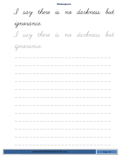I say there is no darkness but

ignorance.

I say there is no darkness but

ignorance.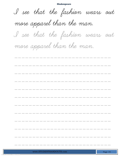I see that the fashion wears out more apparel than the man. I see that the fashion wears out more apparel than the man. \_\_\_\_\_\_\_\_\_\_\_\_\_\_\_\_\_\_\_\_\_\_\_\_\_\_\_ \_\_\_\_\_\_\_\_\_\_\_\_\_\_\_\_\_\_\_\_\_\_\_\_\_\_\_ \_\_\_\_\_\_\_\_\_\_\_\_\_\_\_\_\_\_\_\_\_\_\_\_\_\_\_ \_\_\_\_\_\_\_\_\_\_\_\_\_\_\_\_\_\_\_\_\_\_\_\_\_\_\_ \_\_\_\_\_\_\_\_\_\_\_\_\_\_\_\_\_\_\_\_\_\_\_\_\_\_\_ \_\_\_\_\_\_\_\_\_\_\_\_\_\_\_\_\_\_\_\_\_\_\_\_\_\_\_ \_\_\_\_\_\_\_\_\_\_\_\_\_\_\_\_\_\_\_\_\_\_\_\_\_\_\_ \_\_\_\_\_\_\_\_\_\_\_\_\_\_\_\_\_\_\_\_\_\_\_\_\_\_\_ \_\_\_\_\_\_\_\_\_\_\_\_\_\_\_\_\_\_\_\_\_\_\_\_\_\_\_ \_\_\_\_\_\_\_\_\_\_\_\_\_\_\_\_\_\_\_\_\_\_\_\_\_\_\_ \_\_\_\_\_\_\_\_\_\_\_\_\_\_\_\_\_\_\_\_\_\_\_\_\_\_\_ \_\_\_\_\_\_\_\_\_\_\_\_\_\_\_\_\_\_\_\_\_\_\_\_\_\_\_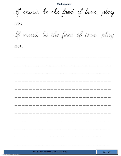If music be the food of love, play

ON.

If music be the food of love, play

 $\varphi_{\mathcal{U}}$ 

|  | a la<br>$\sim$ |  |
|--|----------------|--|
|  |                |  |
|  |                |  |
|  |                |  |
|  |                |  |
|  |                |  |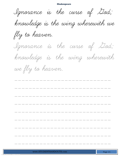Ignorance is the curse of God;

knowledge is the wing wherewith we

fly to heaven.

Ignorance is the curse of God;

knowledge is the wing wherewith

\_\_\_\_\_\_\_\_\_\_\_\_\_\_\_\_\_\_\_\_\_\_\_\_\_\_\_

\_\_\_\_\_\_\_\_\_\_\_\_\_\_\_\_\_\_\_\_\_\_\_\_\_\_\_

\_\_\_\_\_\_\_\_\_\_\_\_\_\_\_\_\_\_\_\_\_\_\_\_\_\_\_

\_\_\_\_\_\_\_\_\_\_\_\_\_\_\_\_\_\_\_\_\_\_\_\_\_\_\_

\_\_\_\_\_\_\_\_\_\_\_\_\_\_\_\_\_\_\_\_\_\_\_\_\_\_\_

\_\_\_\_\_\_\_\_\_\_\_\_\_\_\_\_\_\_\_\_\_\_\_\_\_\_\_

\_\_\_\_\_\_\_\_\_\_\_\_\_\_\_\_\_\_\_\_\_\_\_\_\_\_\_

\_\_\_\_\_\_\_\_\_\_\_\_\_\_\_\_\_\_\_\_\_\_\_\_\_\_\_

\_\_\_\_\_\_\_\_\_\_\_\_\_\_\_\_\_\_\_\_\_\_\_\_\_\_\_

we fly to heaven.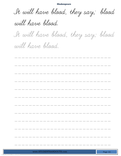It will have blood, they say; blood

will have blood.

It will have blood, they say; blood

\_\_\_\_\_\_\_\_\_\_\_\_\_\_\_\_\_\_\_\_\_\_\_\_\_\_\_

will have blood.

\_\_\_\_\_\_\_\_\_\_\_\_\_\_\_\_\_\_\_\_\_\_\_\_\_\_\_ \_\_\_\_\_\_\_\_\_\_\_\_\_\_\_\_\_\_\_\_\_\_\_\_\_\_\_ \_\_\_\_\_\_\_\_\_\_\_\_\_\_\_\_\_\_\_\_\_\_\_\_\_\_\_ \_\_\_\_\_\_\_\_\_\_\_\_\_\_\_\_\_\_\_\_\_\_\_\_\_\_\_ \_\_\_\_\_\_\_\_\_\_\_\_\_\_\_\_\_\_\_\_\_\_\_\_\_\_\_ \_\_\_\_\_\_\_\_\_\_\_\_\_\_\_\_\_\_\_\_\_\_\_\_\_ \_\_\_\_\_\_\_\_\_\_\_\_\_\_\_\_\_\_\_\_\_\_\_\_\_\_\_ \_\_\_\_\_\_\_\_\_\_\_\_\_\_\_\_\_\_\_\_\_\_\_\_\_\_\_ \_\_\_\_\_\_\_\_\_\_\_\_\_\_\_\_\_\_\_\_\_\_\_\_\_\_\_ \_\_\_\_\_\_\_\_\_\_\_\_\_\_\_\_\_\_\_\_\_\_\_\_\_\_\_ \_\_\_\_\_\_\_\_\_\_\_\_\_\_\_\_\_\_\_\_\_\_\_\_\_\_\_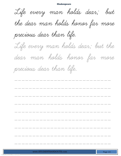Life every man holds dear; but

the dear man holds honor far more

precious dear than life.

Life every man holds dear; but the

dear man holds honor far more

\_\_\_\_\_\_\_\_\_\_\_\_\_\_\_\_\_\_\_\_\_\_\_\_\_\_\_

\_\_\_\_\_\_\_\_\_\_\_\_\_\_\_\_\_\_\_\_\_\_\_\_\_\_\_

\_\_\_\_\_\_\_\_\_\_\_\_\_\_\_\_\_\_\_\_\_\_\_\_\_\_\_

\_\_\_\_\_\_\_\_\_\_\_\_\_\_\_\_\_\_\_\_\_\_\_\_\_\_\_

\_\_\_\_\_\_\_\_\_\_\_\_\_\_\_\_\_\_\_\_\_\_\_\_\_\_\_

\_\_\_\_\_\_\_\_\_\_\_\_\_\_\_\_\_\_\_\_\_\_\_\_\_\_\_

\_\_\_\_\_\_\_\_\_\_\_\_\_\_\_\_\_\_\_\_\_\_\_\_\_\_\_

\_\_\_\_\_\_\_\_\_\_\_\_\_\_\_\_\_\_\_\_\_\_\_\_\_\_\_

\_\_\_\_\_\_\_\_\_\_\_\_\_\_\_\_\_\_\_\_\_\_\_\_\_\_\_

precious dear than life.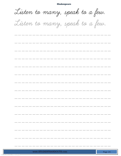Listen to many, speak to a few. Listen to many, speak to a few. \_ \_\_ \_\_ \_\_ \_\_ \_\_ \_\_ \_\_ \_ \_\_ \_\_ \_\_ \_\_ \_\_ \_\_ \_\_ \_\_ \_\_ \_\_ سي ب - -\_\_\_\_\_ - -- -- -- -ست ب - -- -- -\_\_\_\_\_\_\_ \_ \_\_ \_\_ \_\_ \_ والمتنا المتناجين المتناجين المتناجين المتناجين المتناجين المتناجين المتناجين المتناجين المتناجين المتناجين المتناجي \_ \_\_\_ \_\_ - -- -- -- -- -- -- -- --\_ \_\_ \_\_ \_\_ \_\_ \_\_ \_ \_\_ \_\_ \_\_ \_\_ \_\_

www.STUDENTHANDOUTS.com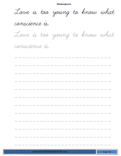

conscience is.



conscience is.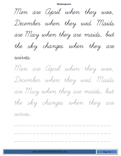Men are April when they woo, December when they wed. Maids are May when they are maids, but the sky changes when they are wives. Men are April when they woo, December when they wed. Maids are May when they are maids, but the sky changes when they are

\_\_\_\_\_\_\_\_\_\_\_\_\_\_\_\_\_\_\_\_\_\_\_\_\_\_\_

\_\_\_\_\_\_\_\_\_\_\_\_\_\_\_\_\_\_\_\_\_\_\_\_\_\_\_

\_\_\_\_\_\_\_\_\_\_\_\_\_\_\_\_\_\_\_\_\_\_\_\_\_\_\_

wives.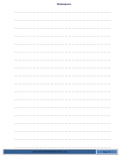rlatins til Orden i de 002001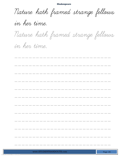Nature hath framed strange fellows

in her time.

Nature hath framed strange fellows

\_\_\_\_\_\_\_\_\_\_\_\_\_\_\_\_\_\_\_\_\_\_\_\_\_\_\_

in her time.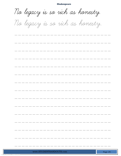No legacy is so rich as honesty.

No legacy is so rich as honesty.

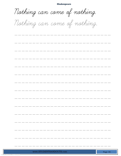Nothing can come of nothing.

Nothing can come of nothing.

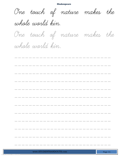One touch of nature makes the

whole world kin.

One touch of nature makes the

\_ \_\_ \_\_ \_\_ \_\_

whole world kin.

\_\_\_\_\_\_\_\_\_\_\_\_  $\overline{a}$ - -- -- -- -- -- -- -- -- -- --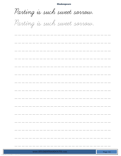Parting is such sweet sorrow.

Parting is such sweet servew.

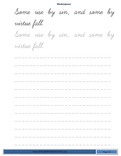Some rise by sin, and some by

virtue fall.

Some rise by sin, and some by

virtue fall.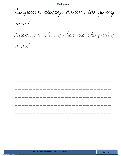Suspicion always haunts the quilty

mind.

Suspicion always haunts the guilty

mind.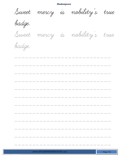Sweet mercy is nobility's true

badge.

Sweet mercy is nobility's true

badge.

|  | - -                                    |  |
|--|----------------------------------------|--|
|  |                                        |  |
|  |                                        |  |
|  |                                        |  |
|  |                                        |  |
|  |                                        |  |
|  | - -<br>- -<br>$\overline{\phantom{a}}$ |  |
|  |                                        |  |
|  |                                        |  |
|  |                                        |  |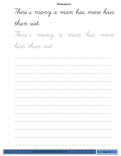There's many a man has more hair

than wit.

There's many a man has more

hair than wit.

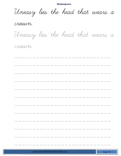Uneasy lies the head that wears a

crouin.

Uneasy lies the head that wears a

CNOWN.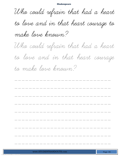Who could refrain that had a heart

to love and in that heart courage to

make love known?

Who could refrain that had a heart

to love and in that heart courage

\_\_\_\_\_\_\_\_\_\_\_\_\_\_\_\_\_\_\_\_\_\_\_\_\_\_\_

\_\_\_\_\_\_\_\_\_\_\_\_\_\_\_\_\_\_\_\_\_\_\_\_\_\_\_

\_\_\_\_\_\_\_\_\_\_\_\_\_\_\_\_\_\_\_\_\_\_\_\_\_\_\_

\_\_\_\_\_\_\_\_\_\_\_\_\_\_\_\_\_\_\_\_\_\_\_\_\_\_\_

\_\_\_\_\_\_\_\_\_\_\_\_\_\_\_\_\_\_\_\_\_\_\_\_\_\_\_

\_\_\_\_\_\_\_\_\_\_\_\_\_\_\_\_\_\_\_\_\_\_\_\_\_\_\_

\_\_\_\_\_\_\_\_\_\_\_\_\_\_\_\_\_\_\_\_\_\_\_\_\_\_\_

\_\_\_\_\_\_\_\_\_\_\_\_\_\_\_\_\_\_\_\_\_\_\_\_\_\_\_

\_\_\_\_\_\_\_\_\_\_\_\_\_\_\_\_\_\_\_\_\_\_\_\_\_\_\_

to make love known?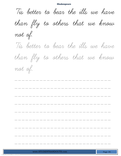'Tis better to bear the ills we have

than fly to others that we know not of.

'Tis better to bear the ills we have

than fly to others that we know

\_\_\_\_\_\_\_\_\_\_\_\_\_\_\_\_\_\_\_\_\_\_\_\_\_\_\_

\_\_\_\_\_\_\_\_\_\_\_\_\_\_\_\_\_\_\_\_\_\_\_\_\_\_\_

\_\_\_\_\_\_\_\_\_\_\_\_\_\_\_\_\_\_\_\_\_\_\_\_\_\_\_

\_\_\_\_\_\_\_\_\_\_\_\_\_\_\_\_\_\_\_\_\_\_\_\_\_\_\_

\_\_\_\_\_\_\_\_\_\_\_\_\_\_\_\_\_\_\_\_\_\_\_\_\_\_\_

\_\_\_\_\_\_\_\_\_\_\_\_\_\_\_\_\_\_\_\_\_\_\_\_\_\_\_

\_\_\_\_\_\_\_\_\_\_\_\_\_\_\_\_\_\_\_\_\_\_\_\_\_\_\_

\_\_\_\_\_\_\_\_\_\_\_\_\_\_\_\_\_\_\_\_\_\_\_\_\_\_\_

\_\_\_\_\_\_\_\_\_\_\_\_\_\_\_\_\_\_\_\_\_\_\_\_\_\_\_

not of.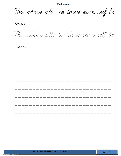This above all; to thine own self be

true.

This above all; to thine own self be

true.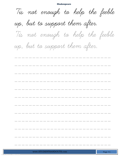'Tis not enough to help the feeble up, but to support them after. 'Tis not enough to help the feeble up, but to support them after. \_\_\_\_\_\_\_\_\_\_\_\_\_\_\_\_\_\_\_\_\_\_\_\_\_\_\_ \_\_\_\_\_\_\_\_\_\_\_\_\_\_\_\_\_\_\_\_\_\_\_\_\_\_\_ \_\_\_\_\_\_\_\_\_\_\_\_\_\_\_\_\_\_\_\_\_\_\_\_\_\_\_ \_\_\_\_\_\_\_\_\_\_\_\_\_\_\_\_\_\_\_\_\_\_\_\_\_\_\_ \_\_\_\_\_\_\_\_\_\_\_\_\_\_\_\_\_\_\_\_\_\_\_\_\_\_\_ \_\_\_\_\_\_\_\_\_\_\_\_\_\_\_\_\_\_\_\_\_\_\_\_\_\_\_ \_\_\_\_\_\_\_\_\_\_\_\_\_\_\_\_\_\_\_\_\_\_\_\_\_\_\_ \_\_\_\_\_\_\_\_\_\_\_\_\_\_\_\_\_\_\_\_\_\_\_\_\_\_\_ \_\_\_\_\_\_\_\_\_\_\_\_\_\_\_\_\_\_\_\_\_\_\_\_\_\_\_ \_\_\_\_\_\_\_\_\_\_\_\_\_\_\_\_\_\_\_\_\_\_\_\_\_\_\_ \_\_\_\_\_\_\_\_\_\_\_\_\_\_\_\_\_\_\_\_\_\_\_\_\_\_\_ \_\_\_\_\_\_\_\_\_\_\_\_\_\_\_\_\_\_\_\_\_\_\_\_\_\_\_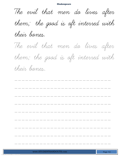The evil that men do lives after them; the good is oft interred with their bones. The evil that men do lives after them; the good is oft interred with their bones. \_\_\_\_\_\_\_\_\_\_\_\_\_\_\_\_\_\_\_\_\_\_\_\_\_\_\_ \_\_\_\_\_\_\_\_\_\_\_\_\_\_\_\_\_\_\_\_\_\_\_\_\_\_\_

\_\_\_\_\_\_\_\_\_\_\_\_\_\_\_\_\_\_\_\_\_\_\_\_\_\_\_

\_\_\_\_\_\_\_\_\_\_\_\_\_\_\_\_\_\_\_\_\_\_\_\_\_\_\_

\_\_\_\_\_\_\_\_\_\_\_\_\_\_\_\_\_\_\_\_\_\_\_\_\_\_\_

\_\_\_\_\_\_\_\_\_\_\_\_\_\_\_\_\_\_\_\_\_\_\_\_\_\_\_

\_\_\_\_\_\_\_\_\_\_\_\_\_\_\_\_\_\_\_\_\_\_\_\_\_\_\_

\_\_\_\_\_\_\_\_\_\_\_\_\_\_\_\_\_\_\_\_\_\_\_\_\_\_\_

\_\_\_\_\_\_\_\_\_\_\_\_\_\_\_\_\_\_\_\_\_\_\_\_\_\_\_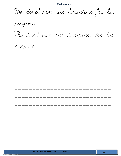The devil can cite Scripture for his

purpose.

The devil can cite Scripture for his

purpose.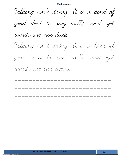Talking isn't doing. It is a kind of good deed to say well; and yet words are not deeds. Talking isn't doing. It is a kind of good deed to say well; and yet words are not deeds. \_\_\_\_\_\_\_\_\_\_\_\_\_\_\_\_\_\_\_\_\_\_\_\_\_\_\_ \_\_\_\_\_\_\_\_\_\_\_\_\_\_\_\_\_\_\_\_\_\_\_\_\_\_\_ \_\_\_\_\_\_\_\_\_\_\_\_\_\_\_\_\_\_\_\_\_\_\_\_\_\_\_ \_\_\_\_\_\_\_\_\_\_\_\_\_\_\_\_\_\_\_\_\_\_\_\_\_\_\_ \_\_\_\_\_\_\_\_\_\_\_\_\_\_\_\_\_\_\_\_\_\_\_\_\_\_\_ \_\_\_\_\_\_\_\_\_\_\_\_\_\_\_\_\_\_\_\_\_\_\_\_\_\_\_ \_\_\_\_\_\_\_\_\_\_\_\_\_\_\_\_\_\_\_\_\_\_\_\_\_\_\_ \_\_\_\_\_\_\_\_\_\_\_\_\_\_\_\_\_\_\_\_\_\_\_\_\_\_\_ \_\_\_\_\_\_\_\_\_\_\_\_\_\_\_\_\_\_\_\_\_\_\_\_\_\_\_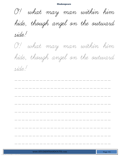O! what may man within him

hide, though angel on the outward

side!

O! what may man within him

hide, though angel on the outward

\_\_\_\_\_\_\_\_\_\_\_\_\_\_\_\_\_\_\_\_\_\_\_\_\_\_\_

\_\_\_\_\_\_\_\_\_\_\_\_\_\_\_\_\_\_\_\_\_\_\_\_\_\_\_

\_\_\_\_\_\_\_\_\_\_\_\_\_\_\_\_\_\_\_\_\_\_\_\_\_\_\_

\_\_\_\_\_\_\_\_\_\_\_\_\_\_\_\_\_\_\_\_\_\_\_\_\_\_\_

\_\_\_\_\_\_\_\_\_\_\_\_\_\_\_\_\_\_\_\_\_\_\_\_\_\_\_

\_\_\_\_\_\_\_\_\_\_\_\_\_\_\_\_\_\_\_\_\_\_\_\_\_\_\_

\_\_\_\_\_\_\_\_\_\_\_\_\_\_\_\_\_\_\_\_\_\_\_\_\_\_\_

\_\_\_\_\_\_\_\_\_\_\_\_\_\_\_\_\_\_\_\_\_\_\_\_\_\_\_

\_\_\_\_\_\_\_\_\_\_\_\_\_\_\_\_\_\_\_\_\_\_\_\_\_\_\_

side!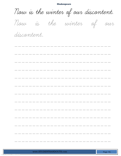Now is the winter of our discontent.

Nous is the winter of our

discontent.

|  |  | $\sim$ | $\sim$ |  |  |
|--|--|--------|--------|--|--|
|  |  |        |        |  |  |
|  |  |        |        |  |  |
|  |  |        |        |  |  |
|  |  |        |        |  |  |
|  |  |        |        |  |  |
|  |  |        |        |  |  |
|  |  |        |        |  |  |
|  |  |        |        |  |  |
|  |  |        |        |  |  |
|  |  |        |        |  |  |
|  |  |        |        |  |  |
|  |  |        |        |  |  |
|  |  |        |        |  |  |
|  |  |        |        |  |  |
|  |  |        |        |  |  |
|  |  |        |        |  |  |
|  |  |        |        |  |  |
|  |  |        |        |  |  |
|  |  |        |        |  |  |
|  |  |        |        |  |  |
|  |  |        |        |  |  |
|  |  |        |        |  |  |
|  |  |        |        |  |  |
|  |  |        |        |  |  |
|  |  |        |        |  |  |
|  |  |        |        |  |  |
|  |  |        |        |  |  |
|  |  |        |        |  |  |
|  |  |        |        |  |  |
|  |  |        |        |  |  |
|  |  |        |        |  |  |
|  |  |        |        |  |  |
|  |  |        |        |  |  |
|  |  |        |        |  |  |
|  |  |        |        |  |  |
|  |  |        |        |  |  |
|  |  |        |        |  |  |
|  |  |        |        |  |  |
|  |  |        |        |  |  |
|  |  |        |        |  |  |
|  |  |        |        |  |  |
|  |  |        |        |  |  |
|  |  |        |        |  |  |
|  |  |        |        |  |  |
|  |  |        |        |  |  |
|  |  |        |        |  |  |
|  |  |        |        |  |  |
|  |  |        |        |  |  |
|  |  |        |        |  |  |
|  |  |        |        |  |  |
|  |  |        |        |  |  |
|  |  |        |        |  |  |
|  |  |        |        |  |  |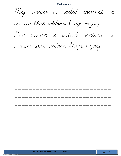My crown is called content, a crown that seldom kings enjoy. My crown is called content, a crown that seldom kings enjoy. \_\_\_\_\_\_\_\_\_\_\_\_\_\_\_\_\_\_\_\_\_\_\_\_\_\_\_ \_\_\_\_\_\_\_\_\_\_\_\_\_\_\_\_\_\_\_\_\_\_\_\_\_\_\_ \_\_\_\_\_\_\_\_\_\_\_\_\_\_\_\_\_\_\_\_\_\_\_\_\_\_\_ \_\_\_\_\_\_\_\_\_\_\_\_\_\_\_\_\_\_\_\_\_\_\_\_\_\_\_ \_\_\_\_\_\_\_\_\_\_\_\_\_\_\_\_\_\_\_\_\_\_\_\_\_\_\_ \_\_\_\_\_\_\_\_\_\_\_\_\_\_\_\_\_\_\_\_\_\_\_\_\_\_\_ \_\_\_\_\_\_\_\_\_\_\_\_\_\_\_\_\_\_\_\_\_\_\_\_\_\_\_ \_\_\_\_\_\_\_\_\_\_\_\_\_\_\_\_\_\_\_\_\_\_\_\_\_\_\_ \_\_\_\_\_\_\_\_\_\_\_\_\_\_\_\_\_\_\_\_\_\_\_\_\_\_\_ \_\_\_\_\_\_\_\_\_\_\_\_\_\_\_\_\_\_\_\_\_\_\_\_\_\_\_ \_\_\_\_\_\_\_\_\_\_\_\_\_\_\_\_\_\_\_\_\_\_\_\_\_\_\_ \_\_\_\_\_\_\_\_\_\_\_\_\_\_\_\_\_\_\_\_\_\_\_\_\_\_\_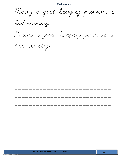Many a good hanging prevents a

bad marriage.

Many a good hanging prevents a

bad maniage.

- -- -- -- --

------------------------------ -- -- -- -\_\_\_\_\_\_\_\_\_\_\_\_ - - ----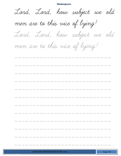Lord, Lord, how subject we old

men are to this vice of lying!



\_\_\_\_\_\_\_\_\_\_\_\_\_\_\_\_\_\_\_\_\_\_\_\_\_\_\_

men are to this vice of lying!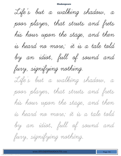Life's but a walking shadow, a poor player, that struts and frets his hour upon the stage, and then is heard no more; it is a tale told by an idiot, full of sound and fury, signifying nothing. Life's but a walking shadow, a poor player, that struts and frets his hour upon the stage, and then is heard no more; it is a tale told by an idiot, full of sound and fury, signifying nothing.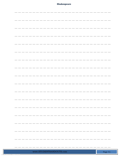tiotrist Orden 1990-999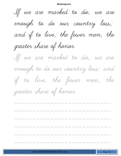If we are marked to die, we are enough to do our country loss; and if to live, the fewer men, the greater share of honor. If we are marked to die, we are enough to do our country loss; and if to live, the fewer men, the greater share of honor. \_\_\_\_\_\_\_\_\_\_\_\_\_\_\_\_\_\_\_\_\_\_\_\_\_\_\_ \_\_\_\_\_\_\_\_\_\_\_\_\_\_\_\_\_\_\_\_\_\_\_\_\_\_\_ \_\_\_\_\_\_\_\_\_\_\_\_\_\_\_\_\_\_\_\_\_\_\_\_\_\_\_ \_\_\_\_\_\_\_\_\_\_\_\_\_\_\_\_\_\_\_\_\_\_\_\_\_\_\_ \_\_\_\_\_\_\_\_\_\_\_\_\_\_\_\_\_\_\_\_\_\_\_\_\_\_\_ \_\_\_\_\_\_\_\_\_\_\_\_\_\_\_\_\_\_\_\_\_\_\_\_\_\_\_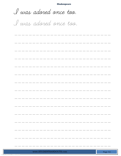I was adored once too.

I was adored once too.

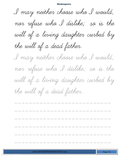I may neither choose who I would, nor refuse who I dislike; so is the will of a living daughter curbed by the will of a dead father. I may neither choose who I would, nor refuse who I dislike; so is the will of a living daughter curbed by the will of a dead father. \_\_\_\_\_\_\_\_\_\_\_\_\_\_\_\_\_\_\_\_\_\_\_\_\_\_\_ \_\_\_\_\_\_\_\_\_\_\_\_\_\_\_\_\_\_\_\_\_\_\_\_\_\_\_ \_\_\_\_\_\_\_\_\_\_\_\_\_\_\_\_\_\_\_\_\_\_\_\_\_\_\_ \_\_\_\_\_\_\_\_\_\_\_\_\_\_\_\_\_\_\_\_\_\_\_\_\_\_\_ \_\_\_\_\_\_\_\_\_\_\_\_\_\_\_\_\_\_\_\_\_\_\_\_\_\_\_ \_\_\_\_\_\_\_\_\_\_\_\_\_\_\_\_\_\_\_\_\_\_\_\_\_\_\_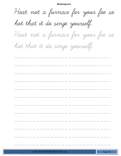**Shakespeare** Heat not a furnace for your foe so hot that it do singe yourself. Heat not a furnace for your foe so hot that it do singe yourself. \_\_\_\_\_\_\_\_\_\_\_\_\_\_\_\_\_\_\_\_\_\_\_\_\_\_\_ \_\_\_\_\_\_\_\_\_\_\_\_\_\_\_\_\_\_\_\_\_\_\_\_\_\_\_ \_\_\_\_\_\_\_\_\_\_\_\_\_\_\_\_\_\_\_\_\_\_\_\_\_\_\_ \_\_\_\_\_\_\_\_\_\_\_\_\_\_\_\_\_\_\_\_\_\_\_\_\_\_\_ \_\_\_\_\_\_\_\_\_\_\_\_\_\_\_\_\_\_\_\_\_\_\_\_\_\_\_ \_\_\_\_\_\_\_\_\_\_\_\_\_\_\_\_\_\_\_\_\_\_\_\_\_\_\_ \_\_\_\_\_\_\_\_\_\_\_\_\_\_\_\_\_\_\_\_\_\_\_\_\_\_\_ \_\_\_\_\_\_\_\_\_\_\_\_\_\_\_\_\_\_\_\_\_\_\_\_\_\_\_ \_\_\_\_\_\_\_\_\_\_\_\_\_\_\_\_\_\_\_\_\_\_\_\_\_\_\_ \_\_\_\_\_\_\_\_\_\_\_\_\_\_\_\_\_\_\_\_\_\_\_\_\_\_\_ \_\_\_\_\_\_\_\_\_\_\_\_\_\_\_\_\_\_\_\_\_\_\_\_\_\_\_ \_\_\_\_\_\_\_\_\_\_\_\_\_\_\_\_\_\_\_\_\_\_\_\_\_\_\_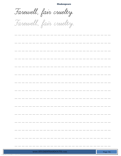Farewell, fair cruelty.

Farewell, fair cruelty.

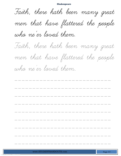**Shakespeare** Faith, there hath been many great men that have flattered the people who ne'er loved them. Faith, there hath been many great men that have flattered the people who ne'er loved them. \_\_\_\_\_\_\_\_\_\_\_\_\_\_\_\_\_\_\_\_\_\_\_\_\_\_\_ \_\_\_\_\_\_\_\_\_\_\_\_\_\_\_\_\_\_\_\_\_\_\_\_\_\_\_ \_\_\_\_\_\_\_\_\_\_\_\_\_\_\_\_\_\_\_\_\_\_\_\_\_\_\_ \_\_\_\_\_\_\_\_\_\_\_\_\_\_\_\_\_\_\_\_\_\_\_\_\_\_\_ \_\_\_\_\_\_\_\_\_\_\_\_\_\_\_\_\_\_\_\_\_\_\_\_\_\_\_ \_\_\_\_\_\_\_\_\_\_\_\_\_\_\_\_\_\_\_\_\_\_\_\_\_\_\_ \_\_\_\_\_\_\_\_\_\_\_\_\_\_\_\_\_\_\_\_\_\_\_\_\_\_\_ \_\_\_\_\_\_\_\_\_\_\_\_\_\_\_\_\_\_\_\_\_\_\_\_\_\_\_

Stude<del>nt Handouts (Order #3768259)</del>

\_\_\_\_\_\_\_\_\_\_\_\_\_\_\_\_\_\_\_\_\_\_\_\_\_\_\_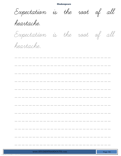Expectation is the root of all

heartache.

Expectation is the root of all

heantache.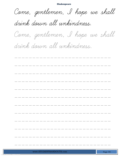Come, gentlemen, I hope we shall

drink down all unkindness.

Come, gentlemen, I hope we shall

\_\_\_\_\_\_\_\_\_\_\_\_\_\_\_\_\_\_\_\_\_\_\_\_\_\_\_

\_\_\_\_\_\_\_\_\_\_\_\_\_\_\_\_\_\_\_\_\_\_\_\_\_\_\_

\_\_\_\_\_\_\_\_\_\_\_\_\_\_\_\_\_\_\_\_\_\_\_\_\_\_\_

\_\_\_\_\_\_\_\_\_\_\_\_\_\_\_\_\_\_\_\_\_\_\_\_\_\_\_

\_\_\_\_\_\_\_\_\_\_\_\_\_\_\_\_\_\_\_\_\_\_\_\_\_\_\_

\_\_\_\_\_\_\_\_\_\_\_\_\_\_\_\_\_\_\_\_\_\_\_\_\_\_\_

\_\_\_\_\_\_\_\_\_\_\_\_\_\_\_\_\_\_\_\_\_\_\_\_\_\_\_

\_\_\_\_\_\_\_\_\_\_\_\_\_\_\_\_\_\_\_\_\_\_\_\_\_\_\_

\_\_\_\_\_\_\_\_\_\_\_\_\_\_\_\_\_\_\_\_\_\_\_\_\_\_\_

\_\_\_\_\_\_\_\_\_\_\_\_\_\_\_\_\_\_\_\_\_\_\_\_\_\_\_

\_\_\_\_\_\_\_\_\_\_\_\_\_\_\_\_\_\_\_\_\_\_\_\_\_\_\_

\_\_\_\_\_\_\_\_\_\_\_\_\_\_\_\_\_\_\_\_\_\_\_\_\_\_\_

drink down all unkindness.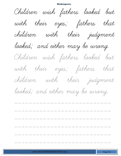Children wish fathers looked but with their eyes; fathers that children with their judgment looked; and either may be wrong. Children wish fathers looked but with their eyes; fathers that children with their judgment looked; and either may be wrong. \_\_\_\_\_\_\_\_\_\_\_\_\_\_\_\_\_\_\_\_\_\_\_\_\_\_\_ \_\_\_\_\_\_\_\_\_\_\_\_\_\_\_\_\_\_\_\_\_\_\_\_\_\_\_ \_\_\_\_\_\_\_\_\_\_\_\_\_\_\_\_\_\_\_\_\_\_\_\_\_\_\_ \_\_\_\_\_\_\_\_\_\_\_\_\_\_\_\_\_\_\_\_\_\_\_\_\_\_\_ \_\_\_\_\_\_\_\_\_\_\_\_\_\_\_\_\_\_\_\_\_\_\_\_\_\_\_ \_\_\_\_\_\_\_\_\_\_\_\_\_\_\_\_\_\_\_\_\_\_\_\_\_\_\_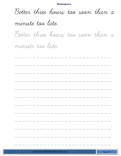Better three hours too soon than a

minute too late.

Better three hours too soon than a

minute too late.

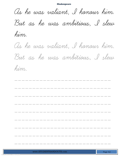As he was valiant, I honour him.

But as he was ambitious, I slew him.

As he was valiant, I honour him.

But as he was ambitious, I slew

\_\_\_\_\_\_\_\_\_\_\_\_\_\_\_\_\_\_\_\_\_\_\_\_\_\_\_

\_\_\_\_\_\_\_\_\_\_\_\_\_\_\_\_\_\_\_\_\_\_\_\_\_\_\_

\_\_\_\_\_\_\_\_\_\_\_\_\_\_\_\_\_\_\_\_\_\_\_\_\_\_\_

\_\_\_\_\_\_\_\_\_\_\_\_\_\_\_\_\_\_\_\_\_\_\_\_\_\_\_

\_\_\_\_\_\_\_\_\_\_\_\_\_\_\_\_\_\_\_\_\_\_\_\_\_\_\_

\_\_\_\_\_\_\_\_\_\_\_\_\_\_\_\_\_\_\_\_\_\_\_\_\_\_\_

\_\_\_\_\_\_\_\_\_\_\_\_\_\_\_\_\_\_\_\_\_\_\_\_\_\_\_

\_\_\_\_\_\_\_\_\_\_\_\_\_\_\_\_\_\_\_\_\_\_\_\_\_\_\_

\_\_\_\_\_\_\_\_\_\_\_\_\_\_\_\_\_\_\_\_\_\_\_\_\_\_\_

him.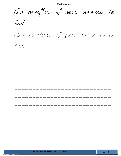An overflow of good converts to

bad.

An averflaw af good converts to

bad.

| - -<br>a la |
|-------------|
|             |
|             |
|             |
|             |
|             |
|             |
| - -         |
|             |
|             |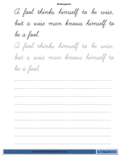A fool thinks himself to be wise,

but a wise man knows himself to

be a fool.

A fool thinks himself to be wise,

but a wise man knows himself to

\_\_\_\_\_\_\_\_\_\_\_\_\_\_\_\_\_\_\_\_\_\_\_\_\_\_\_

\_\_\_\_\_\_\_\_\_\_\_\_\_\_\_\_\_\_\_\_\_\_\_\_\_\_\_

\_\_\_\_\_\_\_\_\_\_\_\_\_\_\_\_\_\_\_\_\_\_\_\_\_\_\_

\_\_\_\_\_\_\_\_\_\_\_\_\_\_\_\_\_\_\_\_\_\_\_\_\_\_\_

\_\_\_\_\_\_\_\_\_\_\_\_\_\_\_\_\_\_\_\_\_\_\_\_\_\_\_

\_\_\_\_\_\_\_\_\_\_\_\_\_\_\_\_\_\_\_\_\_\_\_\_\_\_\_

\_\_\_\_\_\_\_\_\_\_\_\_\_\_\_\_\_\_\_\_\_\_\_\_\_\_\_

\_\_\_\_\_\_\_\_\_\_\_\_\_\_\_\_\_\_\_\_\_\_\_\_\_\_\_

\_\_\_\_\_\_\_\_\_\_\_\_\_\_\_\_\_\_\_\_\_\_\_\_\_\_\_

be a fool.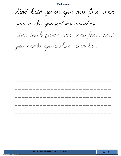God hath given you one face, and you make yourselves another.

God hath given you one face, and

\_\_\_\_\_\_\_\_\_\_\_\_\_\_\_\_\_\_\_\_\_\_\_\_\_\_\_

\_\_\_\_\_\_\_\_\_\_\_\_\_\_\_\_\_\_\_\_\_\_\_\_\_\_\_

\_\_\_\_\_\_\_\_\_\_\_\_\_\_\_\_\_\_\_\_\_\_\_\_\_\_\_

\_\_\_\_\_\_\_\_\_\_\_\_\_\_\_\_\_\_\_\_\_\_\_\_\_\_\_

\_\_\_\_\_\_\_\_\_\_\_\_\_\_\_\_\_\_\_\_\_\_\_\_\_\_\_

\_\_\_\_\_\_\_\_\_\_\_\_\_\_\_\_\_\_\_\_\_\_\_\_\_\_\_

\_\_\_\_\_\_\_\_\_\_\_\_\_\_\_\_\_\_\_\_\_\_\_\_\_\_\_

\_\_\_\_\_\_\_\_\_\_\_\_\_\_\_\_\_\_\_\_\_\_\_\_\_\_\_

\_\_\_\_\_\_\_\_\_\_\_\_\_\_\_\_\_\_\_\_\_\_\_\_\_\_\_

\_\_\_\_\_\_\_\_\_\_\_\_\_\_\_\_\_\_\_\_\_\_\_\_\_\_\_

\_\_\_\_\_\_\_\_\_\_\_\_\_\_\_\_\_\_\_\_\_\_\_\_\_\_\_

\_\_\_\_\_\_\_\_\_\_\_\_\_\_\_\_\_\_\_\_\_\_\_\_\_\_\_

you make yourselves another.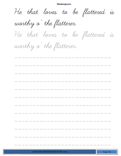He that loves to be flattered is

worthy o' the flatterer.

He that loves to be flattered is

\_\_\_\_\_\_\_\_\_\_\_\_\_\_\_\_\_\_\_\_\_\_\_\_\_\_\_

\_\_\_\_\_\_\_\_\_\_\_\_\_\_\_\_\_\_\_\_\_\_\_\_\_\_\_

worthy o' the flatterer.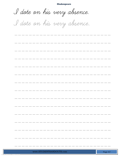I dote on his very absence.

I dote on his very absence.

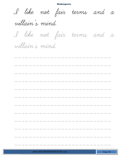I like not fair terms and a

villain's mind.

I like not fair terms and a

willain's mind.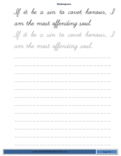If it be a sin to covet honour, I am the most offending soul. If it be a sin to covet honour, I am the most offending soul. \_\_\_\_\_\_\_\_\_\_\_\_\_\_\_\_\_\_\_\_\_\_\_\_\_\_\_ \_\_\_\_\_\_\_\_\_\_\_\_\_\_\_\_\_\_\_\_\_\_\_\_\_\_\_ \_\_\_\_\_\_\_\_\_\_\_\_\_\_\_\_\_\_\_\_\_\_\_\_\_\_\_ \_\_\_\_\_\_\_\_\_\_\_\_\_\_\_\_\_\_\_\_\_\_\_\_\_\_\_ \_\_\_\_\_\_\_\_\_\_\_\_\_\_\_\_\_\_\_\_\_\_\_\_\_\_\_ \_\_\_\_\_\_\_\_\_\_\_\_\_\_\_\_\_\_\_\_\_\_\_\_\_\_\_ \_\_\_\_\_\_\_\_\_\_\_\_\_\_\_\_\_\_\_\_\_\_\_\_\_\_\_ \_\_\_\_\_\_\_\_\_\_\_\_\_\_\_\_\_\_\_\_\_\_\_\_\_\_\_ \_\_\_\_\_\_\_\_\_\_\_\_\_\_\_\_\_\_\_\_\_\_\_\_\_\_\_ \_\_\_\_\_\_\_\_\_\_\_\_\_\_\_\_\_\_\_\_\_\_\_\_\_\_\_ \_\_\_\_\_\_\_\_\_\_\_\_\_\_\_\_\_\_\_\_\_\_\_\_\_\_\_ \_\_\_\_\_\_\_\_\_\_\_\_\_\_\_\_\_\_\_\_\_\_\_\_\_\_\_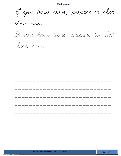If you have tears, prepare to shed

them now.

If you have tears, prepare to shed

them now.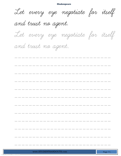Let every eye negotiate for itself and trust no agent. Let every eye negotiate for itself and trust no agent.

\_\_\_\_\_\_\_\_\_\_\_\_\_\_\_\_\_\_\_\_\_\_\_\_\_\_\_

\_\_\_\_\_\_\_\_\_\_\_\_\_\_\_\_\_\_\_\_\_\_\_\_\_\_\_

\_\_\_\_\_\_\_\_\_\_\_\_\_\_\_\_\_\_\_\_\_\_\_\_\_\_\_

\_\_\_\_\_\_\_\_\_\_\_\_\_\_\_\_\_\_\_\_\_\_\_\_\_\_\_

\_\_\_\_\_\_\_\_\_\_\_\_\_\_\_\_\_\_\_\_\_\_\_\_\_\_\_

\_\_\_\_\_\_\_\_\_\_\_\_\_\_\_\_\_\_\_\_\_\_\_\_\_\_\_

\_\_\_\_\_\_\_\_\_\_\_\_\_\_\_\_\_\_\_\_\_\_\_\_\_\_\_

\_\_\_\_\_\_\_\_\_\_\_\_\_\_\_\_\_\_\_\_\_\_\_\_\_\_\_

\_\_\_\_\_\_\_\_\_\_\_\_\_\_\_\_\_\_\_\_\_\_\_\_\_\_\_

\_\_\_\_\_\_\_\_\_\_\_\_\_\_\_\_\_\_\_\_\_\_\_\_\_\_\_

\_\_\_\_\_\_\_\_\_\_\_\_\_\_\_\_\_\_\_\_\_\_\_\_\_\_\_

\_\_\_\_\_\_\_\_\_\_\_\_\_\_\_\_\_\_\_\_\_\_\_\_\_\_\_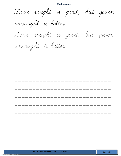Love sought is good, but given

\_\_\_\_\_\_\_\_\_\_\_\_\_\_\_\_\_\_\_\_\_\_\_\_\_\_\_

\_\_\_\_\_\_\_\_\_\_\_\_\_\_\_\_\_\_\_\_\_\_\_\_\_\_\_

unsought, is better.

Love sought is good, but given

unsought, is better.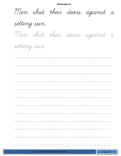Men shut their doors against a

setting sun.

Men shut their doors against a

setting sun.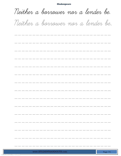Neither a borrower nor a lender be. Neither a borrower nor a lender be. - -- -- -- -- -- -سي ب سيد ب سي ب - -\_ \_\_ \_ - -ست س - -- -\_ \_\_ \_\_ \_\_ \_ \_\_\_\_\_\_ - -- -- -- -- -- -- -- -- -- -- -- -- -- -\_ \_\_\_ \_\_ - -- -- -- -- -- -- -- -- -- -- -- -- -- -- -- -- -- -- --\_ \_\_ \_\_ \_\_ \_\_ \_\_ \_\_ \_\_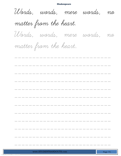Words, words, mere words,

nie

matter from the heart.



matter from the heart.

 $\overline{\phantom{a}}$ 

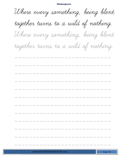Where every something, being blent together turns to a wild of nothing. Where every something, being blent together turns to a wild of nothing. \_\_\_\_\_\_\_\_\_\_\_\_\_\_\_\_\_\_\_\_\_\_\_\_\_\_\_ \_\_\_\_\_\_\_\_\_\_\_\_\_\_\_\_\_\_\_\_\_\_\_\_\_\_\_ \_\_\_\_\_\_\_\_\_\_\_\_\_\_\_\_\_\_\_\_\_\_\_\_\_\_\_ \_\_\_\_\_\_\_\_\_\_\_\_\_\_\_\_\_\_\_\_\_\_\_\_\_\_\_ \_\_\_\_\_\_\_\_\_\_\_\_\_\_\_\_\_\_\_\_\_\_\_\_\_\_\_ \_\_\_\_\_\_\_\_\_\_\_\_\_\_\_\_\_\_\_\_\_\_\_\_\_\_\_ \_\_\_\_\_\_\_\_\_\_\_\_\_\_\_\_\_\_\_\_\_\_\_\_\_\_\_ \_\_\_\_\_\_\_\_\_\_\_\_\_\_\_\_\_\_\_\_\_\_\_\_\_\_\_ \_\_\_\_\_\_\_\_\_\_\_\_\_\_\_\_\_\_\_\_\_\_\_\_\_\_\_ \_\_\_\_\_\_\_\_\_\_\_\_\_\_\_\_\_\_\_\_\_\_\_\_\_\_\_ \_\_\_\_\_\_\_\_\_\_\_\_\_\_\_\_\_\_\_\_\_\_\_\_\_\_\_ \_\_\_\_\_\_\_\_\_\_\_\_\_\_\_\_\_\_\_\_\_\_\_\_\_\_\_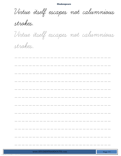Virtue itself escapes not calumnious

strokes.

Virtue itself escapes not calumnious

\_\_\_\_\_\_\_\_\_\_\_\_\_\_\_\_\_\_\_\_\_\_\_\_\_\_\_

strokes.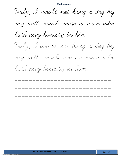Truly, I would not hang a dog by my will, much more a man who hath any honesty in him. Truly, I would not hang a dog by my will, much more a man who hath any honesty in him. \_\_\_\_\_\_\_\_\_\_\_\_\_\_\_\_\_\_\_\_\_\_\_\_\_\_\_ \_\_\_\_\_\_\_\_\_\_\_\_\_\_\_\_\_\_\_\_\_\_\_\_\_\_\_ \_\_\_\_\_\_\_\_\_\_\_\_\_\_\_\_\_\_\_\_\_\_\_\_\_\_\_ \_\_\_\_\_\_\_\_\_\_\_\_\_\_\_\_\_\_\_\_\_\_\_\_\_\_\_ \_\_\_\_\_\_\_\_\_\_\_\_\_\_\_\_\_\_\_\_\_\_\_\_\_\_\_ \_\_\_\_\_\_\_\_\_\_\_\_\_\_\_\_\_\_\_\_\_\_\_\_\_\_\_ \_\_\_\_\_\_\_\_\_\_\_\_\_\_\_\_\_\_\_\_\_\_\_\_\_\_\_ \_\_\_\_\_\_\_\_\_\_\_\_\_\_\_\_\_\_\_\_\_\_\_\_\_\_\_ \_\_\_\_\_\_\_\_\_\_\_\_\_\_\_\_\_\_\_\_\_\_\_\_\_\_\_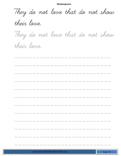They do not love that do not show

their love.

They do not love that do not show

their love.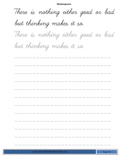There is nothing either good or bad but thinking makes it so.

There is nothing either good or bad

\_\_\_\_\_\_\_\_\_\_\_\_\_\_\_\_\_\_\_\_\_\_\_\_\_\_\_

\_\_\_\_\_\_\_\_\_\_\_\_\_\_\_\_\_\_\_\_\_\_\_\_\_\_\_

\_\_\_\_\_\_\_\_\_\_\_\_\_\_\_\_\_\_\_\_\_\_\_\_\_\_\_

\_\_\_\_\_\_\_\_\_\_\_\_\_\_\_\_\_\_\_\_\_\_\_\_\_\_\_

\_\_\_\_\_\_\_\_\_\_\_\_\_\_\_\_\_\_\_\_\_\_\_\_\_\_\_

\_\_\_\_\_\_\_\_\_\_\_\_\_\_\_\_\_\_\_\_\_\_\_\_\_\_\_

\_\_\_\_\_\_\_\_\_\_\_\_\_\_\_\_\_\_\_\_\_\_\_\_\_\_\_

\_\_\_\_\_\_\_\_\_\_\_\_\_\_\_\_\_\_\_\_\_\_\_\_\_\_\_

\_\_\_\_\_\_\_\_\_\_\_\_\_\_\_\_\_\_\_\_\_\_\_\_\_\_\_

\_\_\_\_\_\_\_\_\_\_\_\_\_\_\_\_\_\_\_\_\_\_\_\_\_\_\_

\_\_\_\_\_\_\_\_\_\_\_\_\_\_\_\_\_\_\_\_\_\_\_\_\_\_\_

\_\_\_\_\_\_\_\_\_\_\_\_\_\_\_\_\_\_\_\_\_\_\_\_\_\_\_

but thinking makes it so.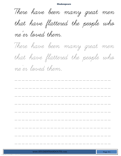There have been many great men that have flattered the people who ne'er loved them. There have been many great men that have flattered the people who ne'er loved them.

\_\_\_\_\_\_\_\_\_\_\_\_\_\_\_\_\_\_\_\_\_\_\_\_\_\_\_

\_\_\_\_\_\_\_\_\_\_\_\_\_\_\_\_\_\_\_\_\_\_\_\_\_\_\_

\_\_\_\_\_\_\_\_\_\_\_\_\_\_\_\_\_\_\_\_\_\_\_\_\_\_\_

\_\_\_\_\_\_\_\_\_\_\_\_\_\_\_\_\_\_\_\_\_\_\_\_\_\_\_

\_\_\_\_\_\_\_\_\_\_\_\_\_\_\_\_\_\_\_\_\_\_\_\_\_\_\_

\_\_\_\_\_\_\_\_\_\_\_\_\_\_\_\_\_\_\_\_\_\_\_\_\_\_\_

\_\_\_\_\_\_\_\_\_\_\_\_\_\_\_\_\_\_\_\_\_\_\_\_\_\_\_

\_\_\_\_\_\_\_\_\_\_\_\_\_\_\_\_\_\_\_\_\_\_\_\_\_\_\_

\_\_\_\_\_\_\_\_\_\_\_\_\_\_\_\_\_\_\_\_\_\_\_\_\_\_\_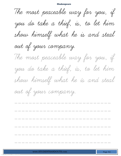The most peaceable way for you, if you do take a thief, is, to let him show himself what he is and steal out of your company. The most peaceable way for you, if you do take a thief, is, to let him show himself what he is and steal out of your company. \_\_\_\_\_\_\_\_\_\_\_\_\_\_\_\_\_\_\_\_\_\_\_\_\_\_\_ \_\_\_\_\_\_\_\_\_\_\_\_\_\_\_\_\_\_\_\_\_\_\_\_\_\_\_ \_\_\_\_\_\_\_\_\_\_\_\_\_\_\_\_\_\_\_\_\_\_\_\_\_\_\_ \_\_\_\_\_\_\_\_\_\_\_\_\_\_\_\_\_\_\_\_\_\_\_\_\_\_\_ \_\_\_\_\_\_\_\_\_\_\_\_\_\_\_\_\_\_\_\_\_\_\_\_\_\_\_ \_\_\_\_\_\_\_\_\_\_\_\_\_\_\_\_\_\_\_\_\_\_\_\_\_\_\_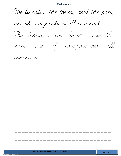The lunatic, the lover, and the poet, are of imagination all compact. The lunatic, the lover, and the poet, are of imagination all compact. \_\_\_\_\_\_\_\_\_\_\_\_\_\_\_\_\_\_\_\_\_\_\_\_\_\_\_ \_\_\_\_\_\_\_\_\_\_\_\_\_\_\_\_\_\_\_\_\_\_\_\_\_\_\_

\_\_\_\_\_\_\_\_\_\_\_\_\_\_\_\_\_\_\_\_\_\_\_\_\_\_\_

\_\_\_\_\_\_\_\_\_\_\_\_\_\_\_\_\_\_\_\_\_\_\_\_\_\_\_

\_\_\_\_\_\_\_\_\_\_\_\_\_\_\_\_\_\_\_\_\_\_\_\_\_\_\_

\_\_\_\_\_\_\_\_\_\_\_\_\_\_\_\_\_\_\_\_\_\_\_\_\_\_\_

\_\_\_\_\_\_\_\_\_\_\_\_\_\_\_\_\_\_\_\_\_\_\_\_\_\_\_

\_\_\_\_\_\_\_\_\_\_\_\_\_\_\_\_\_\_\_\_\_\_\_\_\_\_\_

\_\_\_\_\_\_\_\_\_\_\_\_\_\_\_\_\_\_\_\_\_\_\_\_\_\_\_

\_\_\_\_\_\_\_\_\_\_\_\_\_\_\_\_\_\_\_\_\_\_\_\_\_\_\_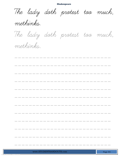The lady doth protest too much,

methinks.

The lady doth protest too much,

methinks

| - -<br>- -<br>- -<br>- -<br>- -                                          |
|--------------------------------------------------------------------------|
|                                                                          |
| . .<br>. .                                                               |
| . .                                                                      |
| and the state<br>and the state<br>- -<br>- -<br>- -<br>- -<br>- -<br>- - |
|                                                                          |
|                                                                          |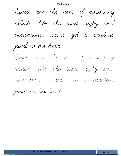Sweet are the uses of adversity which, like the toad, ugly and venomous, wears yet a precious jewel in his head. Sweet are the uses of adversity which, like the toad, ugly and venomous, wears yet a precious jewel in his head. \_\_\_\_\_\_\_\_\_\_\_\_\_\_\_\_\_\_\_\_\_\_\_\_\_\_\_ \_\_\_\_\_\_\_\_\_\_\_\_\_\_\_\_\_\_\_\_\_\_\_\_\_\_\_ \_\_\_\_\_\_\_\_\_\_\_\_\_\_\_\_\_\_\_\_\_\_\_\_\_\_\_ \_\_\_\_\_\_\_\_\_\_\_\_\_\_\_\_\_\_\_\_\_\_\_\_\_\_\_ \_\_\_\_\_\_\_\_\_\_\_\_\_\_\_\_\_\_\_\_\_\_\_\_\_\_\_ \_\_\_\_\_\_\_\_\_\_\_\_\_\_\_\_\_\_\_\_\_\_\_\_\_\_\_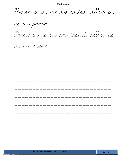Praise us as we are tasted, allow us

# as we prove.

Praise us as we are tasted, allow us

as we prove.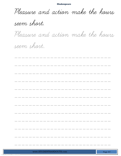Pleasure and action make the hours

seem short.

Pleasure and action make the hours

seem short.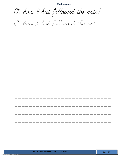O, had I but followed the arts!

O, had I but followed the arts!

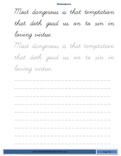Most dangerous is that temptation

that doth goad us on to sin in



loving virtue.

Most dangerous is that temptation

that doth goad us on to sin in

\_\_\_\_\_\_\_\_\_\_\_\_\_\_\_\_\_\_\_\_\_\_\_\_\_\_\_

\_\_\_\_\_\_\_\_\_\_\_\_\_\_\_\_\_\_\_\_\_\_\_\_\_\_\_

\_\_\_\_\_\_\_\_\_\_\_\_\_\_\_\_\_\_\_\_\_\_\_\_\_\_\_

\_\_\_\_\_\_\_\_\_\_\_\_\_\_\_\_\_\_\_\_\_\_\_\_\_\_\_

\_\_\_\_\_\_\_\_\_\_\_\_\_\_\_\_\_\_\_\_\_\_\_\_\_\_\_

\_\_\_\_\_\_\_\_\_\_\_\_\_\_\_\_\_\_\_\_\_\_\_\_\_\_\_

\_\_\_\_\_\_\_\_\_\_\_\_\_\_\_\_\_\_\_\_\_\_\_\_\_\_\_

\_\_\_\_\_\_\_\_\_\_\_\_\_\_\_\_\_\_\_\_\_\_\_\_\_\_\_

\_\_\_\_\_\_\_\_\_\_\_\_\_\_\_\_\_\_\_\_\_\_\_\_\_\_\_

loving virtue.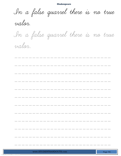In a false quarrel there is no true

valor.

In a false quarrel there is no true

valar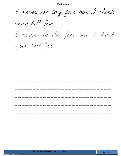I never see thy face but I think

upon hell-fire.

I never see thy face but I think

upon hell-fire.

-----------\_ \_\_ \_\_ \_ <u>. .</u> ---------------------------- -- -- -- -- --- -- -- -- --- - -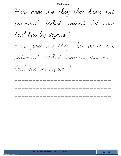How poor are they that have not patience! What wound did ever heal but by degrees? How poor are they that have not patience! What wound did ever heal but by degrees?  $\frac{1}{2}$  and the set of the set of the set of the set of the set of the set of the set of the set of the set of the set of the set of the set of the set of the set of the set of the set of the set of the set of the set o \_\_\_\_\_\_\_\_\_\_\_\_\_\_\_\_\_\_\_\_\_\_\_\_\_\_\_ \_\_\_\_\_\_\_\_\_\_\_\_\_\_\_\_\_\_\_\_\_\_\_\_\_\_\_ \_\_\_\_\_\_\_\_\_\_\_\_\_\_\_\_\_\_\_\_\_\_\_\_\_\_\_ \_\_\_\_\_\_\_\_\_\_\_\_\_\_\_\_\_\_\_\_\_\_\_\_\_\_\_ \_\_\_\_\_\_\_\_\_\_\_\_\_\_\_\_\_\_\_\_\_\_\_\_\_\_\_ \_\_\_\_\_\_\_\_\_\_\_\_\_\_\_\_\_\_\_\_\_\_\_\_\_\_\_ \_\_\_\_\_\_\_\_\_\_\_\_\_\_\_\_\_\_\_\_\_\_\_\_\_\_\_ \_\_\_\_\_\_\_\_\_\_\_\_\_\_\_\_\_\_\_\_\_\_\_\_\_\_\_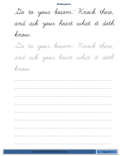Go to your bosom: Knock there,

and ask your heart what it doth

know.

Go to your bosom: Knock there,

and ask your heart what it doth

\_\_\_\_\_\_\_\_\_\_\_\_\_\_\_\_\_\_\_\_\_\_\_\_\_\_\_

\_\_\_\_\_\_\_\_\_\_\_\_\_\_\_\_\_\_\_\_\_\_\_\_\_\_\_

\_\_\_\_\_\_\_\_\_\_\_\_\_\_\_\_\_\_\_\_\_\_\_\_\_\_\_

\_\_\_\_\_\_\_\_\_\_\_\_\_\_\_\_\_\_\_\_\_\_\_\_\_\_\_

\_\_\_\_\_\_\_\_\_\_\_\_\_\_\_\_\_\_\_\_\_\_\_\_\_\_\_

\_\_\_\_\_\_\_\_\_\_\_\_\_\_\_\_\_\_\_\_\_\_\_\_\_\_\_

\_\_\_\_\_\_\_\_\_\_\_\_\_\_\_\_\_\_\_\_\_\_\_\_\_\_\_

\_\_\_\_\_\_\_\_\_\_\_\_\_\_\_\_\_\_\_\_\_\_\_\_\_\_\_

\_\_\_\_\_\_\_\_\_\_\_\_\_\_\_\_\_\_\_\_\_\_\_\_\_\_\_

know.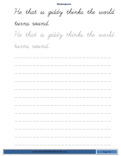He that is giddy thinks the world

# turns round.

He that is giddy thinks the world

turns round.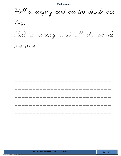Hell is empty and all the devils are

here.

Hell is empty and all the devils

are here.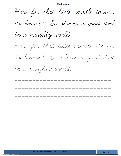How far that little candle throws its beams! So shines a good deed in a naughty world.

How far that little candle throws

its beams! So shines a good deed

\_\_\_\_\_\_\_\_\_\_\_\_\_\_\_\_\_\_\_\_\_\_\_\_\_\_\_

\_\_\_\_\_\_\_\_\_\_\_\_\_\_\_\_\_\_\_\_\_\_\_\_\_\_\_

\_\_\_\_\_\_\_\_\_\_\_\_\_\_\_\_\_\_\_\_\_\_\_\_\_\_\_

\_\_\_\_\_\_\_\_\_\_\_\_\_\_\_\_\_\_\_\_\_\_\_\_\_\_\_

\_\_\_\_\_\_\_\_\_\_\_\_\_\_\_\_\_\_\_\_\_\_\_\_\_\_\_

\_\_\_\_\_\_\_\_\_\_\_\_\_\_\_\_\_\_\_\_\_\_\_\_\_\_\_

\_\_\_\_\_\_\_\_\_\_\_\_\_\_\_\_\_\_\_\_\_\_\_\_\_\_\_

\_\_\_\_\_\_\_\_\_\_\_\_\_\_\_\_\_\_\_\_\_\_\_\_\_\_\_

\_\_\_\_\_\_\_\_\_\_\_\_\_\_\_\_\_\_\_\_\_\_\_\_\_\_\_

in a naughty world.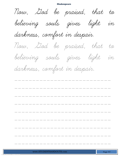Now, God be praised, that to believing souls gives light in darkness, comfort in despair. Now, Lod be praised, that to believing souls gives light in darkness, comfort in despair. \_\_\_\_\_\_\_\_\_\_\_\_\_\_\_\_\_\_\_\_\_\_\_\_\_\_\_ \_\_\_\_\_\_\_\_\_\_\_\_\_\_\_\_\_\_\_\_\_\_\_\_\_\_\_ \_\_\_\_\_\_\_\_\_\_\_\_\_\_\_\_\_\_\_\_\_\_\_\_\_\_\_ \_\_\_\_\_\_\_\_\_\_\_\_\_\_\_\_\_\_\_\_\_\_\_\_\_\_\_ \_\_\_\_\_\_\_\_\_\_\_\_\_\_\_\_\_\_\_\_\_\_\_\_\_\_\_ \_\_\_\_\_\_\_\_\_\_\_\_\_\_\_\_\_\_\_\_\_\_\_\_\_\_\_ \_\_\_\_\_\_\_\_\_\_\_\_\_\_\_\_\_\_\_\_\_\_\_\_\_\_\_ \_\_\_\_\_\_\_\_\_\_\_\_\_\_\_\_\_\_\_\_\_\_\_\_\_\_\_ \_\_\_\_\_\_\_\_\_\_\_\_\_\_\_\_\_\_\_\_\_\_\_\_\_\_\_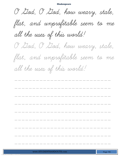O God, O God, how weary, stale,

flat, and unprofitable seem to me

all the uses of this world!

O God, O God, how weary, stale,

flat, and unprofitable seem to me

\_\_\_\_\_\_\_\_\_\_\_\_\_\_\_\_\_\_\_\_\_\_\_\_\_\_\_

\_\_\_\_\_\_\_\_\_\_\_\_\_\_\_\_\_\_\_\_\_\_\_\_\_\_\_

\_\_\_\_\_\_\_\_\_\_\_\_\_\_\_\_\_\_\_\_\_\_\_\_\_\_\_

\_\_\_\_\_\_\_\_\_\_\_\_\_\_\_\_\_\_\_\_\_\_\_\_\_\_\_

\_\_\_\_\_\_\_\_\_\_\_\_\_\_\_\_\_\_\_\_\_\_\_\_\_\_\_

\_\_\_\_\_\_\_\_\_\_\_\_\_\_\_\_\_\_\_\_\_\_\_\_\_\_\_

\_\_\_\_\_\_\_\_\_\_\_\_\_\_\_\_\_\_\_\_\_\_\_\_\_\_\_

\_\_\_\_\_\_\_\_\_\_\_\_\_\_\_\_\_\_\_\_\_\_\_\_\_\_\_

\_\_\_\_\_\_\_\_\_\_\_\_\_\_\_\_\_\_\_\_\_\_\_\_\_\_\_

all the uses of this world!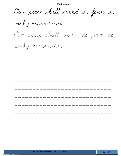Our peace shall stand as firm as

rocky mountains.

Our peace shall stand as firm as

\_\_\_\_\_\_\_\_\_\_\_\_\_\_\_\_\_\_\_\_\_\_\_\_\_\_\_

\_\_\_\_\_\_\_\_\_\_\_\_\_\_\_\_\_\_\_\_\_\_\_\_\_\_\_

\_\_\_\_\_\_\_\_\_\_\_\_\_\_\_\_\_\_\_\_\_\_\_\_\_\_\_

\_\_\_\_\_\_\_\_\_\_\_\_\_\_\_\_\_\_\_\_\_\_\_\_\_\_\_

\_\_\_\_\_\_\_\_\_\_\_\_\_\_\_\_\_\_\_\_\_\_\_\_\_\_\_

\_\_\_\_\_\_\_\_\_\_\_\_\_\_\_\_\_\_\_\_\_\_\_\_\_\_\_

\_\_\_\_\_\_\_\_\_\_\_\_\_\_\_\_\_\_\_\_\_\_\_\_\_\_\_\_\_

\_\_\_\_\_\_\_\_\_\_\_\_\_\_\_\_\_\_\_\_\_\_\_\_\_\_\_

\_\_\_\_\_\_\_\_\_\_\_\_\_\_\_\_\_\_\_\_\_\_\_\_\_\_\_

\_\_\_\_\_\_\_\_\_\_\_\_\_\_\_\_\_\_\_\_\_\_\_\_\_\_\_

\_\_\_\_\_\_\_\_\_\_\_\_\_\_\_\_\_\_\_\_\_\_\_\_\_\_\_

\_\_\_\_\_\_\_\_\_\_\_\_\_\_\_\_\_\_\_\_\_\_\_\_\_\_\_

rocky mountains.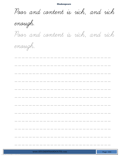Poer and content is rich, and rich

enough.

Poor and content is rich, and rich

enough.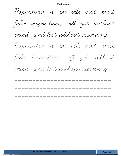Reputation is an idle and most false imposition; oft got without merit, and lost without deserving. Reputation is an idle and most false imposition; oft got without merit, and lost without deserving. -------------------\_\_\_\_\_\_\_\_\_\_\_\_\_\_\_\_\_\_\_\_\_\_\_\_\_\_\_ \_\_\_\_\_\_\_\_\_\_\_\_\_\_\_\_\_\_\_\_\_\_\_\_\_\_\_ \_\_\_\_\_\_\_\_\_\_\_\_\_\_\_\_\_\_\_\_\_\_\_\_\_\_\_ \_\_\_\_\_\_\_\_\_\_\_\_\_\_\_\_\_\_\_\_\_\_\_\_\_\_\_ \_\_\_\_\_\_\_\_\_\_\_\_\_\_\_\_\_\_\_\_\_\_\_\_\_\_\_ \_\_\_\_\_\_\_\_\_\_\_\_\_\_\_\_\_\_\_\_\_\_\_\_\_\_\_ \_\_\_\_\_\_\_\_\_\_\_\_\_\_\_\_\_\_\_\_\_\_\_\_\_\_\_ \_\_\_\_\_\_\_\_\_\_\_\_\_\_\_\_\_\_\_\_\_\_\_\_\_\_\_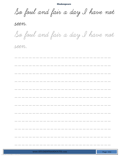So foul and fair a dary I have not

seen.

So foul and fair a day I have not

seen.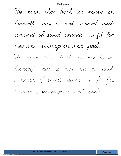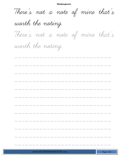There's not a note of mine that's

worth the noting.

There's not a note of mine that's

\_\_\_\_\_\_\_\_\_\_\_\_\_\_\_\_\_\_\_\_\_\_\_\_\_\_\_

worth the noting.

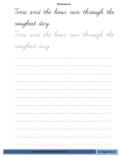Time and the hour run through the

roughest day.

Time and the hour run through the

\_\_\_\_\_\_\_\_\_\_\_\_\_\_\_\_\_\_\_\_\_\_\_\_\_\_\_

roughest day.

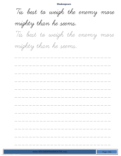'Tis best to weigh the enemy more

mighty than he seems.

'Tis best to weigh the enemy more

\_\_\_\_\_\_\_\_\_\_\_\_\_\_\_\_\_\_\_\_\_\_\_\_\_\_\_

\_\_\_\_\_\_\_\_\_\_\_\_\_\_\_\_\_\_\_\_\_\_\_\_\_\_\_

\_\_\_\_\_\_\_\_\_\_\_\_\_\_\_\_\_\_\_\_\_\_\_\_\_\_\_

\_\_\_\_\_\_\_\_\_\_\_\_\_\_\_\_\_\_\_\_\_\_\_\_\_\_\_

\_\_\_\_\_\_\_\_\_\_\_\_\_\_\_\_\_\_\_\_\_\_\_\_\_\_\_

\_\_\_\_\_\_\_\_\_\_\_\_\_\_\_\_\_\_\_\_\_\_\_\_\_\_\_

\_\_\_\_\_\_\_\_\_\_\_\_\_\_\_\_\_\_\_\_\_\_\_\_\_\_\_

\_\_\_\_\_\_\_\_\_\_\_\_\_\_\_\_\_\_\_\_\_\_\_\_\_\_\_

\_\_\_\_\_\_\_\_\_\_\_\_\_\_\_\_\_\_\_\_\_\_\_\_\_\_\_

\_\_\_\_\_\_\_\_\_\_\_\_\_\_\_\_\_\_\_\_\_\_\_\_\_\_\_

\_\_\_\_\_\_\_\_\_\_\_\_\_\_\_\_\_\_\_\_\_\_\_\_\_\_\_

\_\_\_\_\_\_\_\_\_\_\_\_\_\_\_\_\_\_\_\_\_\_\_\_\_\_\_

mighty than he seems.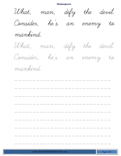

What, man, defy the devil.

Consider, he's an enemy to

mankind.

What, man, defy the devil.

Consider, he's an enemy to

\_\_\_\_\_\_\_\_\_\_\_\_\_\_\_\_\_\_\_\_\_\_\_\_\_\_\_

\_\_\_\_\_\_\_\_\_\_\_\_\_\_\_\_\_\_\_\_\_\_\_\_\_\_\_

\_\_\_\_\_\_\_\_\_\_\_\_\_\_\_\_\_\_\_\_\_\_\_\_\_\_\_

\_\_\_\_\_\_\_\_\_\_\_\_\_\_\_\_\_\_\_\_\_\_\_\_\_\_\_

\_\_\_\_\_\_\_\_\_\_\_\_\_\_\_\_\_\_\_\_\_\_\_\_\_\_\_

\_\_\_\_\_\_\_\_\_\_\_\_\_\_\_\_\_\_\_\_\_\_\_\_\_\_\_

\_\_\_\_\_\_\_\_\_\_\_\_\_\_\_\_\_\_\_\_\_\_\_\_\_\_\_

\_\_\_\_\_\_\_\_\_\_\_\_\_\_\_\_\_\_\_\_\_\_\_\_\_\_\_

\_\_\_\_\_\_\_\_\_\_\_\_\_\_\_\_\_\_\_\_\_\_\_\_\_\_\_

mankind.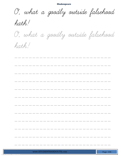O, what a goodly outside falsehood

hath!

O, what a goodly outside falsehood

hath!

|  |  | $\sim$     | a a                   |        |  |
|--|--|------------|-----------------------|--------|--|
|  |  |            |                       |        |  |
|  |  | . .<br>- - | - 11<br>$\sim$<br>- - | $\sim$ |  |
|  |  |            |                       |        |  |
|  |  |            |                       |        |  |
|  |  |            |                       |        |  |
|  |  |            |                       |        |  |
|  |  |            |                       |        |  |
|  |  |            |                       |        |  |
|  |  |            |                       |        |  |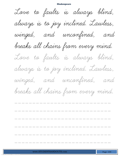Love to faults is always blind, always is to joy inclined. Lawless, winged, and unconfined, and breaks all chains from every mind. Love to faults is always blind, always is to joy inclined. Lawless, winged, and unconfined, and breaks all chains from every mind. \_\_\_\_\_\_\_\_\_\_\_\_\_\_\_\_\_\_\_\_\_\_\_\_\_\_\_ \_\_\_\_\_\_\_\_\_\_\_\_\_\_\_\_\_\_\_\_\_\_\_\_\_\_\_ \_\_\_\_\_\_\_\_\_\_\_\_\_\_\_\_\_\_\_\_\_\_\_\_\_\_\_ \_\_\_\_\_\_\_\_\_\_\_\_\_\_\_\_\_\_\_\_\_\_\_\_\_\_\_ \_\_\_\_\_\_\_\_\_\_\_\_\_\_\_\_\_\_\_\_\_\_\_\_\_\_\_ \_\_\_\_\_\_\_\_\_\_\_\_\_\_\_\_\_\_\_\_\_\_\_\_\_\_\_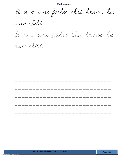It is a wise father that knows his

ourn child.

It is a wise father that knows his

ourn child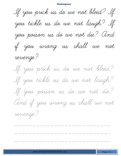If you prick us do we not bleed? If you tickle us do we not laugh? If you poison us do we not die? And if you wrong us shall we not revenge? If you prick us do we not bleed? If you tickle us do we not laugh? If you poison us do we not die? And if you wrong us shall we not revenge? \_\_\_\_\_\_\_\_\_\_\_\_\_\_\_\_\_\_\_\_\_\_\_\_\_\_\_

\_\_\_\_\_\_\_\_\_\_\_\_\_\_\_\_\_\_\_\_\_\_\_\_\_\_\_

\_\_\_\_\_\_\_\_\_\_\_\_\_\_\_\_\_\_\_\_\_\_\_\_\_\_\_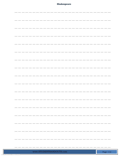tiotristiCritist 17002951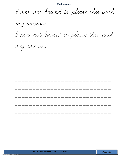I am not bound to please thee with

my answer.

I am not bound to please thee with

- -- -- -- -- -- -- -

- -

- -- -- -- -- -

\_ \_\_\_ \_\_ \_\_ \_\_

- -- -- -- --

----------------------------

my answer.

\_ \_\_\_ \_\_\_ \_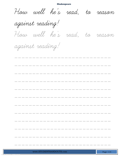How well he's read, to reason

against reading!

How well he's read, to reason

against reading!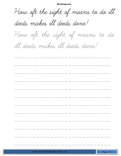How oft the sight of means to do ill

deeds makes ill deeds done!

How oft the sight of means to do

\_\_\_\_\_\_\_\_\_\_\_\_\_\_\_\_\_\_\_\_\_\_\_\_\_\_\_

\_\_\_\_\_\_\_\_\_\_\_\_\_\_\_\_\_\_\_\_\_\_\_\_\_\_\_

\_\_\_\_\_\_\_\_\_\_\_\_\_\_\_\_\_\_\_\_\_\_\_\_\_\_\_

\_\_\_\_\_\_\_\_\_\_\_\_\_\_\_\_\_\_\_\_\_\_\_\_\_\_\_

\_\_\_\_\_\_\_\_\_\_\_\_\_\_\_\_\_\_\_\_\_\_\_\_\_\_\_

\_\_\_\_\_\_\_\_\_\_\_\_\_\_\_\_\_\_\_\_\_\_\_\_\_\_

\_\_\_\_\_\_\_\_\_\_\_\_\_\_\_\_\_\_\_\_\_\_\_\_\_\_\_

\_\_\_\_\_\_\_\_\_\_\_\_\_\_\_\_\_\_\_\_\_\_\_\_\_\_\_

\_\_\_\_\_\_\_\_\_\_\_\_\_\_\_\_\_\_\_\_\_\_\_\_\_\_\_

\_\_\_\_\_\_\_\_\_\_\_\_\_\_\_\_\_\_\_\_\_\_\_\_\_\_\_

\_\_\_\_\_\_\_\_\_\_\_\_\_\_\_\_\_\_\_\_\_\_\_\_\_\_\_

\_\_\_\_\_\_\_\_\_\_\_\_\_\_\_\_\_\_\_\_\_\_\_\_\_\_\_

ill deeds makes ill deeds done!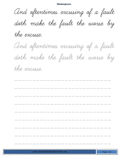And oftentimes excusing of a fault

doth make the fault the worse by

the excuse.

And oftentimes excusing of a fault

doth make the fault the worse by

\_\_\_\_\_\_\_\_\_\_\_\_\_\_\_\_\_\_\_\_\_\_\_\_\_\_\_

\_\_\_\_\_\_\_\_\_\_\_\_\_\_\_\_\_\_\_\_\_\_\_\_\_\_\_

\_\_\_\_\_\_\_\_\_\_\_\_\_\_\_\_\_\_\_\_\_\_\_\_\_\_\_

\_\_\_\_\_\_\_\_\_\_\_\_\_\_\_\_\_\_\_\_\_\_\_\_\_\_\_

\_\_\_\_\_\_\_\_\_\_\_\_\_\_\_\_\_\_\_\_\_\_\_\_\_\_\_

\_\_\_\_\_\_\_\_\_\_\_\_\_\_\_\_\_\_\_\_\_\_\_\_\_\_\_

\_\_\_\_\_\_\_\_\_\_\_\_\_\_\_\_\_\_\_\_\_\_\_\_\_\_\_

\_\_\_\_\_\_\_\_\_\_\_\_\_\_\_\_\_\_\_\_\_\_\_\_\_\_\_

\_\_\_\_\_\_\_\_\_\_\_\_\_\_\_\_\_\_\_\_\_\_\_\_\_\_\_

the excuse.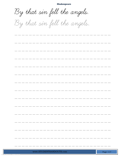By that sin fell the angels.

By that sin fell the angels.

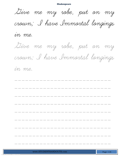Give me my robe, put on my crown; I have Immortal longings in me. Give me my robe, put on my crown; I have Immortal longings in me. \_\_\_\_\_\_\_\_\_\_\_\_\_\_\_\_\_\_\_\_\_\_\_\_\_\_\_ \_\_\_\_\_\_\_\_\_\_\_\_\_\_\_\_\_\_\_\_\_\_\_\_\_\_\_ \_\_\_\_\_\_\_\_\_\_\_\_\_\_\_\_\_\_\_\_\_\_\_\_\_\_\_ \_\_\_\_\_\_\_\_\_\_\_\_\_\_\_\_\_\_\_\_\_\_\_\_\_\_\_ \_\_\_\_\_\_\_\_\_\_\_\_\_\_\_\_\_\_\_\_\_\_\_\_\_\_\_ \_\_\_\_\_\_\_\_\_\_\_\_\_\_\_\_\_\_\_\_\_\_\_\_\_\_\_ \_\_\_\_\_\_\_\_\_\_\_\_\_\_\_\_\_\_\_\_\_\_\_\_\_\_\_ \_\_\_\_\_\_\_\_\_\_\_\_\_\_\_\_\_\_\_\_\_\_\_\_\_\_\_ \_\_\_\_\_\_\_\_\_\_\_\_\_\_\_\_\_\_\_\_\_\_\_\_\_\_\_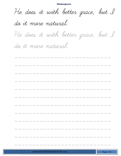He does it with better grace, but I do it more natural. He does it with better grace, but I do it more natural. \_\_\_\_\_\_\_\_\_\_\_\_\_\_\_\_\_\_\_\_\_\_\_\_\_\_\_ \_\_\_\_\_\_\_\_\_\_\_\_\_\_\_\_\_\_\_\_\_\_\_\_\_\_\_ \_\_\_\_\_\_\_\_\_\_\_\_\_\_\_\_\_\_\_\_\_\_\_\_\_\_\_  $\overline{\phantom{a}}$  , and the set of the set of the set of the set of the set of the set of the set of the set of the set of the set of the set of the set of the set of the set of the set of the set of the set of the set of the s \_\_\_\_\_\_\_\_\_\_\_\_\_\_\_\_\_\_\_\_\_\_\_\_\_\_\_ \_\_\_\_\_\_\_\_\_\_\_\_\_\_\_\_\_\_\_\_\_\_\_\_\_\_\_ \_\_\_\_\_\_\_\_\_\_\_\_\_\_\_\_\_\_\_\_\_\_\_\_\_\_\_ \_\_\_\_\_\_\_\_\_\_\_\_\_\_\_\_\_\_\_\_\_\_\_\_\_\_\_ \_\_\_\_\_\_\_\_\_\_\_\_\_\_\_\_\_\_\_\_\_\_\_\_\_\_\_ \_\_\_\_\_\_\_\_\_\_\_\_\_\_\_\_\_\_\_\_\_\_\_\_\_\_\_ \_\_\_\_\_\_\_\_\_\_\_\_\_\_\_\_\_\_\_\_\_\_\_\_\_\_\_

Stude<del>nt Handouts (Order #3768259)</del>

\_\_\_\_\_\_\_\_\_\_\_\_\_\_\_\_\_\_\_\_\_\_\_\_\_\_\_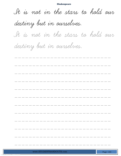It is not in the stars to hold our destiny but in ourselves. It is not in the stars to hold our destiny but in ourselves. \_\_\_\_\_\_\_\_\_\_\_\_\_\_\_\_\_\_\_\_\_\_\_\_\_\_\_ \_\_\_\_\_\_\_\_\_\_\_\_\_\_\_\_\_\_\_\_\_\_\_\_\_\_\_ \_\_\_\_\_\_\_\_\_\_\_\_\_\_\_\_\_\_\_\_\_\_\_\_\_\_\_ \_\_\_\_\_\_\_\_\_\_\_\_\_\_\_\_\_\_\_\_\_\_\_\_\_\_\_ \_\_\_\_\_\_\_\_\_\_\_\_\_\_\_\_\_\_\_\_\_\_\_\_\_\_\_ \_\_\_\_\_\_\_\_\_\_\_\_\_\_\_\_\_\_\_\_\_\_\_\_\_\_\_ \_\_\_\_\_\_\_\_\_\_\_\_\_\_\_\_\_\_\_\_\_\_\_\_\_\_\_\_\_\_ \_\_\_\_\_\_\_\_\_\_\_\_\_\_\_\_\_\_\_\_\_\_\_\_\_\_\_ \_\_\_\_\_\_\_\_\_\_\_\_\_\_\_\_\_\_\_\_\_\_\_\_\_\_\_ \_\_\_\_\_\_\_\_\_\_\_\_\_\_\_\_\_\_\_\_\_\_\_\_\_\_\_ \_\_\_\_\_\_\_\_\_\_\_\_\_\_\_\_\_\_\_\_\_\_\_\_\_\_\_ \_\_\_\_\_\_\_\_\_\_\_\_\_\_\_\_\_\_\_\_\_\_\_\_\_\_\_

www.STUDENTHANDOUTS.com Page 120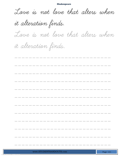Love is not love that alters when

it alteration finds.

Love is not love that alters when

\_\_\_\_\_\_\_\_\_\_\_\_\_\_\_\_\_\_\_\_\_\_\_\_\_\_\_

it alteration finds.

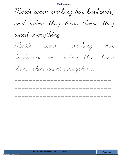Maids want nothing but husbands,

and when they have them, they

want everything.

Stude<del>nt Handouts (Order #3768259)</del>

Maids want nothing but



them, they want everything.

\_\_\_\_\_\_\_\_\_\_\_\_\_\_

\_\_\_\_\_\_\_\_\_\_\_\_\_\_\_\_\_\_\_\_\_\_\_\_\_\_\_

\_\_\_\_\_\_\_\_\_\_\_\_\_\_\_\_\_\_\_\_\_\_\_\_\_\_\_

\_\_\_\_\_\_\_\_\_\_\_\_\_\_\_\_\_\_\_\_\_\_\_\_\_\_\_

\_\_\_\_\_\_\_\_\_\_\_\_\_\_\_\_\_\_\_\_\_\_\_\_\_\_\_

\_\_\_\_\_\_\_\_\_\_\_\_\_\_\_\_\_\_\_\_\_\_\_\_\_\_\_

\_\_\_\_\_\_\_\_\_\_\_\_\_\_\_\_\_\_\_\_\_\_\_\_\_\_\_

\_\_\_\_\_\_\_\_\_\_\_\_\_\_\_\_\_\_\_\_\_\_\_\_\_\_\_

\_\_\_\_\_\_\_\_\_\_\_\_\_\_\_\_\_\_\_\_\_\_\_\_\_\_\_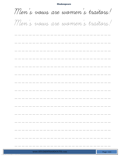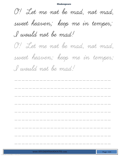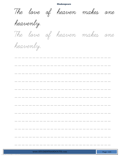The love of heaven makes one

heavenly.

The love of heaven makes one

heavenly.

| - -<br>- - | - 1<br>- 11<br>$=$ $-$<br>- - |
|------------|-------------------------------|
|            |                               |
|            |                               |
|            |                               |
|            |                               |
|            |                               |
|            |                               |
|            |                               |
|            |                               |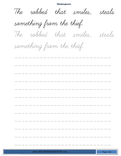\_\_\_\_\_\_\_\_\_\_\_\_\_\_\_\_\_\_\_\_\_\_\_\_\_\_\_

The robbed that smiles, steals

something from the thief.

The robbed that smiles, steals

something from the thief.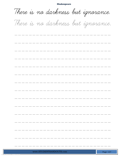There is no darkness but ignorance.

There is no darkness but ignorance.

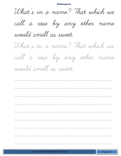What's in a name? That which we call a rose by any other name would smell as sweet. What's in a name? That which we call a rose by any other name would smell as sweet.  $\sim$  and the contract of the contract of the contract of the contract of the contract of the contract of the contract of \_\_\_\_\_\_\_\_\_\_\_\_\_\_\_\_\_\_\_\_\_\_\_\_\_\_\_ \_\_\_\_\_\_\_\_\_\_\_\_\_\_\_\_\_\_\_\_\_\_\_\_\_\_\_ \_\_\_\_\_\_\_\_\_\_\_\_\_\_\_\_\_\_\_\_\_\_\_\_\_\_\_ \_\_\_\_\_\_\_\_\_\_\_\_\_\_\_\_\_\_\_\_\_\_\_\_\_\_\_ \_\_\_\_\_\_\_\_\_\_\_\_\_\_\_\_\_\_\_\_\_\_\_\_\_\_\_ \_\_\_\_\_\_\_\_\_\_\_\_\_\_\_\_\_\_\_\_\_\_\_\_\_\_\_ \_\_\_\_\_\_\_\_\_\_\_\_\_\_\_\_\_\_\_\_\_\_\_\_\_\_\_ \_\_\_\_\_\_\_\_\_\_\_\_\_\_\_\_\_\_\_\_\_\_\_\_\_\_\_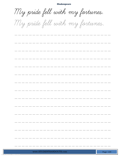My pride fell with my fortunes.

My pride fell with my fortunes.

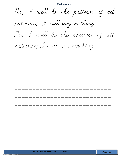No, I will be the pattern of all patience; I will say nothing. No, I will be the pattern of all patience; I will say nothing. \_\_\_\_\_\_\_\_\_\_\_\_\_\_\_\_\_\_\_\_\_\_\_\_\_\_\_ \_\_\_\_\_\_\_\_\_\_\_\_\_\_\_\_\_\_\_\_\_\_\_\_\_\_\_ \_\_\_\_\_\_\_\_\_\_\_\_\_\_\_\_\_\_\_\_\_\_\_\_\_\_\_ \_\_\_\_\_\_\_\_\_\_\_\_\_\_\_\_\_\_\_\_\_\_\_\_\_\_\_ \_\_\_\_\_\_\_\_\_\_\_\_\_\_\_\_\_\_\_\_\_\_\_\_\_\_\_ \_\_\_\_\_\_\_\_\_\_\_\_\_\_\_\_\_\_\_\_\_\_\_\_\_\_\_ \_\_\_\_\_\_\_\_\_\_\_\_\_\_\_\_\_\_\_\_\_\_\_\_\_\_\_ \_\_\_\_\_\_\_\_\_\_\_\_\_\_\_\_\_\_\_\_\_\_\_\_\_\_\_ \_\_\_\_\_\_\_\_\_\_\_\_\_\_\_\_\_\_\_\_\_\_\_\_\_\_\_ \_\_\_\_\_\_\_\_\_\_\_\_\_\_\_\_\_\_\_\_\_\_\_\_\_\_\_ \_\_\_\_\_\_\_\_\_\_\_\_\_\_\_\_\_\_\_\_\_\_\_\_\_\_\_ \_\_\_\_\_\_\_\_\_\_\_\_\_\_\_\_\_\_\_\_\_\_\_\_\_\_\_

www.STUDENTHANDOUTS.com Page 130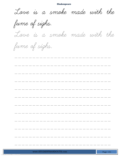Love is a smoke made with the

fume of sighs.

Love is a smoke made with the

fume of sighs.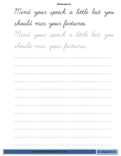Mind your speech a little lest you

should mar your fortunes.

Mind your speech a little lest you

\_\_\_\_\_\_\_\_\_\_\_\_\_\_\_\_\_\_\_\_\_\_\_\_\_\_\_

should mar your fortunes.

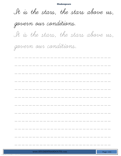It is the stars, the stars above us,

govern our conditions.

It is the stars, the stars above us,

\_\_\_\_\_\_\_\_\_\_\_\_\_\_\_\_\_\_\_\_\_\_\_\_\_\_\_

\_\_\_\_\_\_\_\_\_\_\_\_\_\_\_\_\_\_\_\_\_\_\_\_\_\_\_

govern our conditions.

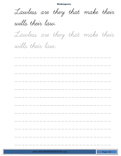Lawless are they that make their

wills their law.

Lawless are they that make their

\_\_\_\_\_\_\_\_\_\_\_\_\_\_\_\_\_\_\_\_\_\_\_\_\_\_\_

wills their law.

\_\_\_\_\_\_\_\_\_\_\_\_\_\_\_\_\_\_\_\_\_\_\_\_\_\_\_ \_\_\_\_\_\_\_\_\_\_\_\_\_\_\_\_\_\_\_\_\_\_\_\_\_\_\_ \_\_\_\_\_\_\_\_\_\_\_\_\_\_\_\_\_\_\_\_\_\_\_\_\_\_\_ \_\_\_\_\_\_\_\_\_\_\_\_\_\_\_\_\_\_\_\_\_\_\_\_\_\_\_ \_\_\_\_\_\_\_\_\_\_\_\_\_\_\_\_\_\_\_\_\_\_\_\_\_\_\_ \_\_\_\_\_\_\_\_\_\_\_\_\_\_\_\_\_\_\_\_\_\_\_\_\_\_\_ \_\_\_\_\_\_\_\_\_\_\_\_\_\_\_\_\_\_\_\_\_\_\_\_\_\_\_ \_\_\_\_\_\_\_\_\_\_\_\_\_\_\_\_\_\_\_\_\_\_\_\_\_\_\_ \_\_\_\_\_\_\_\_\_\_\_\_\_\_\_\_\_\_\_\_\_\_\_\_\_\_\_ \_\_\_\_\_\_\_\_\_\_\_\_\_\_\_\_\_\_\_\_\_\_\_\_\_\_\_ \_\_\_\_\_\_\_\_\_\_\_\_\_\_\_\_\_\_\_\_\_\_\_\_\_\_\_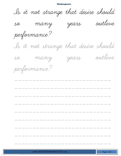\_\_\_\_\_\_\_\_\_\_\_\_\_\_\_\_\_\_\_\_\_\_\_\_\_\_\_

\_\_\_\_\_\_\_\_\_\_\_\_\_\_\_\_\_\_\_\_\_\_\_\_\_\_\_

\_\_\_\_\_\_\_\_\_\_\_\_\_\_\_\_\_\_\_\_\_\_\_\_\_\_\_

\_\_\_\_\_\_\_\_\_\_\_\_\_\_\_\_\_\_\_\_\_\_\_\_\_\_\_

\_\_\_\_\_\_\_\_\_\_\_\_\_\_\_\_\_\_\_\_\_\_\_\_\_\_\_

\_\_\_\_\_\_\_\_\_\_\_\_\_\_\_\_\_\_\_\_\_\_\_\_\_\_\_

\_\_\_\_\_\_\_\_\_\_\_\_\_\_\_\_\_\_\_\_\_\_\_\_\_\_\_

\_\_\_\_\_\_\_\_\_\_\_\_\_\_\_\_\_\_\_\_\_\_\_\_\_\_\_

\_\_\_\_\_\_\_\_\_\_\_\_\_\_\_\_\_\_\_\_\_\_\_\_\_\_\_

Is it not strange that desire should

so many years outlive

performance?

Is it not strange that desire should

so many years outlive

performance?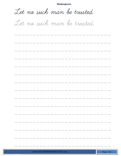Let no such man be trusted.

Let no such man be trusted.

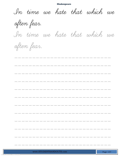In time we hate that which we

often fear.

In time we hate that which we

often fear.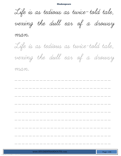Life is as tedious as twice-told tale,

vexing the dull ear of a drowsy

man.

Life is as tedious as twice-told tale,

vexing the dull ear of a drowsy

\_\_\_\_\_\_\_\_\_\_\_\_\_\_\_\_\_\_\_\_\_\_\_\_\_\_\_

\_\_\_\_\_\_\_\_\_\_\_\_\_\_\_\_\_\_\_\_\_\_\_\_\_\_\_

\_\_\_\_\_\_\_\_\_\_\_\_\_\_\_\_\_\_\_\_\_\_\_\_\_\_\_

\_\_\_\_\_\_\_\_\_\_\_\_\_\_\_\_\_\_\_\_\_\_\_\_\_\_\_

\_\_\_\_\_\_\_\_\_\_\_\_\_\_\_\_\_\_\_\_\_\_\_\_\_\_\_

\_\_\_\_\_\_\_\_\_\_\_\_\_\_\_\_\_\_\_\_\_\_\_\_\_\_\_

\_\_\_\_\_\_\_\_\_\_\_\_\_\_\_\_\_\_\_\_\_\_\_\_\_\_\_

\_\_\_\_\_\_\_\_\_\_\_\_\_\_\_\_\_\_\_\_\_\_\_\_\_\_\_

\_\_\_\_\_\_\_\_\_\_\_\_\_\_\_\_\_\_\_\_\_\_\_\_\_\_\_

man.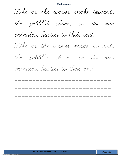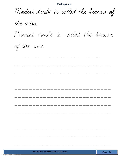Modest doubt is called the beacon of

the wise.

Modest doubt is called the beacon

of the wise.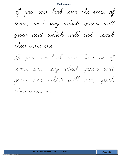

\_\_\_\_\_\_\_\_\_\_\_\_\_\_\_\_\_\_\_\_\_\_\_\_\_\_\_

\_\_\_\_\_\_\_\_\_\_\_\_\_\_\_\_\_\_\_\_\_\_\_\_\_\_\_

\_\_\_\_\_\_\_\_\_\_\_\_\_\_\_\_\_\_\_\_\_\_\_\_\_\_\_

\_\_\_\_\_\_\_\_\_\_\_\_\_\_\_\_\_\_\_\_\_\_\_\_\_\_\_

\_\_\_\_\_\_\_\_\_\_\_\_\_\_\_\_\_\_\_\_\_\_\_\_\_\_\_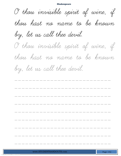O thou invisible spirit of wine, if thou hast no name to be known by, let us call thee devil. O thou invisible spirit of wine, if thou hast no name to be known by, let us call thee devil.  $-$  and the set of the set of the set of the set of the set of the set of the set of the set of the set of the set of the set of the set of the set of the set of the set of the set of the set of the set of the set of the \_\_\_\_\_\_\_\_\_\_\_\_\_\_\_\_\_\_\_\_\_\_\_\_\_\_\_ \_\_\_\_\_\_\_\_\_\_\_\_\_\_\_\_\_\_\_\_\_\_\_\_\_\_\_ \_\_\_\_\_\_\_\_\_\_\_\_\_\_\_\_\_\_\_\_\_\_\_\_\_\_\_ \_\_\_\_\_\_\_\_\_\_\_\_\_\_\_\_\_\_\_\_\_\_\_\_\_\_\_ \_\_\_\_\_\_\_\_\_\_\_\_\_\_\_\_\_\_\_\_\_\_\_\_\_\_\_ \_\_\_\_\_\_\_\_\_\_\_\_\_\_\_\_\_\_\_\_\_\_\_\_\_\_\_ \_\_\_\_\_\_\_\_\_\_\_\_\_\_\_\_\_\_\_\_\_\_\_\_\_\_\_ \_\_\_\_\_\_\_\_\_\_\_\_\_\_\_\_\_\_\_\_\_\_\_\_\_\_\_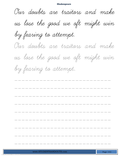Our doubts are traitors and make us lose the good we oft might win by fearing to attempt. Our doubts are traitors and make us lose the good we oft might win by fearing to attempt. ------------------\_\_\_\_\_\_\_\_\_\_\_\_\_\_\_\_\_\_\_\_\_\_\_\_\_\_\_ \_\_\_\_\_\_\_\_\_\_\_\_\_\_\_\_\_\_\_\_\_\_\_\_\_\_\_ \_\_\_\_\_\_\_\_\_\_\_\_\_\_\_\_\_\_\_\_\_\_\_\_\_\_\_ \_\_\_\_\_\_\_\_\_\_\_\_\_\_\_\_\_\_\_\_\_\_\_\_\_\_\_ \_\_\_\_\_\_\_\_\_\_\_\_\_\_\_\_\_\_\_\_\_\_\_\_\_\_\_ \_\_\_\_\_\_\_\_\_\_\_\_\_\_\_\_\_\_\_\_\_\_\_\_\_\_\_ \_\_\_\_\_\_\_\_\_\_\_\_\_\_\_\_\_\_\_\_\_\_\_\_\_\_\_ \_\_\_\_\_\_\_\_\_\_\_\_\_\_\_\_\_\_\_\_\_\_\_\_\_\_\_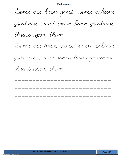Some are born great, some achieve greatness, and some have greatness thrust upon them. Some are born great, some achieve greatness, and some have greatness thrust upon them. \_\_\_\_\_\_\_\_\_\_\_\_\_\_\_\_\_\_\_\_\_\_\_\_\_\_\_ \_\_\_\_\_\_\_\_\_\_\_\_\_\_\_\_\_\_\_\_\_\_\_\_\_\_\_ \_\_\_\_\_\_\_\_\_\_\_\_\_\_\_\_\_\_\_\_\_\_\_\_\_\_\_ \_\_\_\_\_\_\_\_\_\_\_\_\_\_\_\_\_\_\_\_\_\_\_\_\_\_\_ \_\_\_\_\_\_\_\_\_\_\_\_\_\_\_\_\_\_\_\_\_\_\_\_\_\_\_ \_\_\_\_\_\_\_\_\_\_\_\_\_\_\_\_\_\_\_\_\_\_\_\_\_\_\_ \_\_\_\_\_\_\_\_\_\_\_\_\_\_\_\_\_\_\_\_\_\_\_\_\_\_\_ \_\_\_\_\_\_\_\_\_\_\_\_\_\_\_\_\_\_\_\_\_\_\_\_\_\_\_ \_\_\_\_\_\_\_\_\_\_\_\_\_\_\_\_\_\_\_\_\_\_\_\_\_\_\_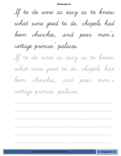If to do were as easy as to know what were good to do, chapels had been churches, and poor men's cottage princes' palaces. If to do were as easy as to know what were good to do, chapels had been churches, and poor men's cottage princes' palaces. \_\_\_\_\_\_\_\_\_\_\_\_\_\_\_\_\_\_\_\_\_\_\_\_\_\_\_ \_\_\_\_\_\_\_\_\_\_\_\_\_\_\_\_\_\_\_\_\_\_\_\_\_\_\_ \_\_\_\_\_\_\_\_\_\_\_\_\_\_\_\_\_\_\_\_\_\_\_\_\_\_\_ \_\_\_\_\_\_\_\_\_\_\_\_\_\_\_\_\_\_\_\_\_\_\_\_\_\_\_ \_\_\_\_\_\_\_\_\_\_\_\_\_\_\_\_\_\_\_\_\_\_\_\_\_\_\_ \_\_\_\_\_\_\_\_\_\_\_\_\_\_\_\_\_\_\_\_\_\_\_\_\_\_\_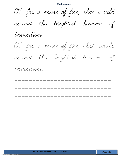O! for a muse of fire, that would

ascend the brightest heaven of

invention.



\_\_\_\_\_\_\_\_\_\_\_\_\_\_\_\_\_\_\_\_\_\_\_\_\_\_\_

\_\_\_\_\_\_\_\_\_\_\_\_\_\_\_\_\_\_\_\_\_\_\_\_\_\_\_

\_\_\_\_\_\_\_\_\_\_\_\_\_\_\_\_\_\_\_\_\_\_\_\_\_\_\_

\_\_\_\_\_\_\_\_\_\_\_\_\_\_\_\_\_\_\_\_\_\_\_\_\_\_\_

\_\_\_\_\_\_\_\_\_\_\_\_\_\_\_\_\_\_\_\_\_\_\_\_\_\_\_

\_\_\_\_\_\_\_\_\_\_\_\_\_\_\_\_\_\_\_\_\_\_\_\_\_\_\_

\_\_\_\_\_\_\_\_\_\_\_\_\_\_\_\_\_\_\_\_\_\_\_\_\_\_\_

\_\_\_\_\_\_\_\_\_\_\_\_\_\_\_\_\_\_\_\_\_\_\_\_\_\_\_

\_\_\_\_\_\_\_\_\_\_\_\_\_\_\_\_\_\_\_\_\_\_\_\_\_\_\_

ascend the brightest heaven of

invention.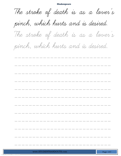The stroke of death is as a lover's pinch, which hurts and is desired. The stroke of death is as a lover's pinch, which hurts and is desired. \_\_\_\_\_\_\_\_\_\_\_\_\_\_\_\_\_\_\_\_\_\_\_\_\_\_\_ \_\_\_\_\_\_\_\_\_\_\_\_\_\_\_\_\_\_\_\_\_\_\_\_\_\_\_ \_\_\_\_\_\_\_\_\_\_\_\_\_\_\_\_\_\_\_\_\_\_\_\_\_\_\_ \_\_\_\_\_\_\_\_\_\_\_\_\_\_\_\_\_\_\_\_\_\_\_\_\_\_\_ \_\_\_\_\_\_\_\_\_\_\_\_\_\_\_\_\_\_\_\_\_\_\_\_\_\_\_ \_\_\_\_\_\_\_\_\_\_\_\_\_\_\_\_\_\_\_\_\_\_\_\_\_\_\_ \_\_\_\_\_\_\_\_\_\_\_\_\_\_\_\_\_\_\_\_\_\_\_\_\_\_\_ \_\_\_\_\_\_\_\_\_\_\_\_\_\_\_\_\_\_\_\_\_\_\_\_\_\_\_ \_\_\_\_\_\_\_\_\_\_\_\_\_\_\_\_\_\_\_\_\_\_\_\_\_\_\_ \_\_\_\_\_\_\_\_\_\_\_\_\_\_\_\_\_\_\_\_\_\_\_\_\_\_\_ \_\_\_\_\_\_\_\_\_\_\_\_\_\_\_\_\_\_\_\_\_\_\_\_\_\_\_ \_\_\_\_\_\_\_\_\_\_\_\_\_\_\_\_\_\_\_\_\_\_\_\_\_\_\_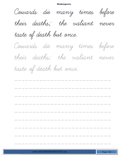

\_\_\_\_\_\_\_\_\_\_\_\_\_\_\_\_\_\_\_\_\_\_\_\_\_\_\_

\_\_\_\_\_\_\_\_\_\_\_\_\_\_\_\_\_\_\_\_\_\_\_\_\_\_\_

\_\_\_\_\_\_\_\_\_\_\_\_\_\_\_\_\_\_\_\_\_\_\_\_\_\_\_

\_\_\_\_\_\_\_\_\_\_\_\_\_\_\_\_\_\_\_\_\_\_\_\_\_\_\_

\_\_\_\_\_\_\_\_\_\_\_\_\_\_\_\_\_\_\_\_\_\_\_\_\_\_\_

\_\_\_\_\_\_\_\_\_\_\_\_\_\_\_\_\_\_\_\_\_\_\_\_\_\_\_

\_\_\_\_\_\_\_\_\_\_\_\_\_\_\_\_\_\_\_\_\_\_\_\_\_\_\_

\_\_\_\_\_\_\_\_\_\_\_\_\_\_\_\_\_\_\_\_\_\_\_\_\_\_\_

\_\_\_\_\_\_\_\_\_\_\_\_\_\_\_\_\_\_\_\_\_\_\_\_\_\_\_



taste of death but once.

Cowards die many times before

their deaths; the valiant never

taste of death but once.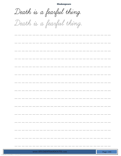Death is a fearful thing.

Death is a fearful thing.

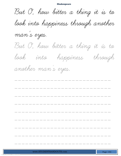But O, how bitter a thing it is to look into happiness through another man's eyes. But O, how bitter a thing it is to look into happiness through another man's eyes. \_\_\_\_\_\_\_\_\_\_\_\_\_\_\_\_\_\_\_\_\_\_\_\_\_\_\_ \_\_\_\_\_\_\_\_\_\_\_\_\_\_\_\_\_\_\_\_\_\_\_\_\_\_\_ \_\_\_\_\_\_\_\_\_\_\_\_\_\_\_\_\_\_\_\_\_\_\_\_\_\_\_ \_\_\_\_\_\_\_\_\_\_\_\_\_\_\_\_\_\_\_\_\_\_\_\_\_\_\_ \_\_\_\_\_\_\_\_\_\_\_\_\_\_\_\_\_\_\_\_\_\_\_\_\_\_\_ \_\_\_\_\_\_\_\_\_\_\_\_\_\_\_\_\_\_\_\_\_\_\_\_\_\_\_ \_\_\_\_\_\_\_\_\_\_\_\_\_\_\_\_\_\_\_\_\_\_\_\_\_\_\_ \_\_\_\_\_\_\_\_\_\_\_\_\_\_\_\_\_\_\_\_\_\_\_\_\_\_\_ \_\_\_\_\_\_\_\_\_\_\_\_\_\_\_\_\_\_\_\_\_\_\_\_\_\_\_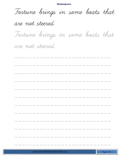

# are not steered.

Fortune brings in some boats that

are not steered.

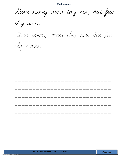Live every man thy ear, but few

thy voice.

Sine every man thy ear, but few

thy voice.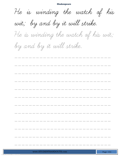He is winding the watch of his wit; by and by it will strike. He is winding the watch of his wit; by and by it will strike. \_\_\_\_\_\_\_\_\_\_\_\_\_\_\_\_\_\_\_\_\_\_\_\_\_\_\_ \_\_\_\_\_\_\_\_\_\_\_\_\_\_\_\_\_\_\_\_\_\_\_\_\_\_\_ \_\_\_\_\_\_\_\_\_\_\_\_\_\_\_\_\_\_\_\_\_\_\_\_\_\_\_ \_\_\_\_\_\_\_\_\_\_\_\_\_\_\_\_\_\_\_\_\_\_\_\_\_\_\_ \_\_\_\_\_\_\_\_\_\_\_\_\_\_\_\_\_\_\_\_\_\_\_\_\_\_\_ \_\_\_\_\_\_\_\_\_\_\_\_\_\_\_\_\_\_\_\_\_\_\_\_\_\_\_ \_\_\_\_\_\_\_\_\_\_\_\_\_\_\_\_\_\_\_\_\_\_\_\_\_\_\_ \_\_\_\_\_\_\_\_\_\_\_\_\_\_\_\_\_\_\_\_\_\_\_\_\_\_\_ \_\_\_\_\_\_\_\_\_\_\_\_\_\_\_\_\_\_\_\_\_\_\_\_\_\_\_ \_\_\_\_\_\_\_\_\_\_\_\_\_\_\_\_\_\_\_\_\_\_\_\_\_\_\_ \_\_\_\_\_\_\_\_\_\_\_\_\_\_\_\_\_\_\_\_\_\_\_\_\_\_\_ \_\_\_\_\_\_\_\_\_\_\_\_\_\_\_\_\_\_\_\_\_\_\_\_\_\_\_

www.STUDENTHANDOUTS.com Page 153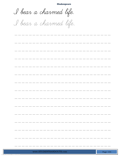I bear a charmed life.

I bear a charmed life.

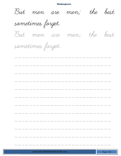But men are men; the best

sometimes forget.

But men are men; the best

sometimes forget.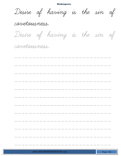Desire of having is the sin of

covetousness.

Desire of harring is the sin of

corretousness.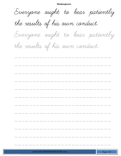Everyone ought to bear patiently the results of his own conduct. Everyone ought to bear patiently the results of his own conduct. \_\_\_\_\_\_\_\_\_\_\_\_\_\_\_\_\_\_\_\_\_\_\_\_\_\_\_ \_\_\_\_\_\_\_\_\_\_\_\_\_\_\_\_\_\_\_\_\_\_\_\_\_\_\_ \_\_\_\_\_\_\_\_\_\_\_\_\_\_\_\_\_\_\_\_\_\_\_\_\_\_\_ \_\_\_\_\_\_\_\_\_\_\_\_\_\_\_\_\_\_\_\_\_\_\_\_\_\_\_ \_\_\_\_\_\_\_\_\_\_\_\_\_\_\_\_\_\_\_\_\_\_\_\_\_\_\_ \_\_\_\_\_\_\_\_\_\_\_\_\_\_\_\_\_\_\_\_\_\_\_\_\_\_\_ \_\_\_\_\_\_\_\_\_\_\_\_\_\_\_\_\_\_\_\_\_\_\_\_\_\_\_ \_\_\_\_\_\_\_\_\_\_\_\_\_\_\_\_\_\_\_\_\_\_\_\_\_\_\_ \_\_\_\_\_\_\_\_\_\_\_\_\_\_\_\_\_\_\_\_\_\_\_\_\_\_\_ \_\_\_\_\_\_\_\_\_\_\_\_\_\_\_\_\_\_\_\_\_\_\_\_\_\_\_ \_\_\_\_\_\_\_\_\_\_\_\_\_\_\_\_\_\_\_\_\_\_\_\_\_\_\_ \_\_\_\_\_\_\_\_\_\_\_\_\_\_\_\_\_\_\_\_\_\_\_\_\_\_\_

www.STUDENTHANDOUTS.com Page 157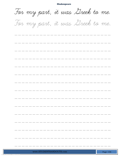For my part, it was Greek to me. For my part, it was Dreek to me. \_ \_\_ \_\_ \_\_ \_\_ \_\_ \_\_ \_\_ \_\_ \_ \_\_ \_\_ \_\_ \_\_ \_\_ \_\_ \_\_ \_\_ - -- -- -- -- -سي ب سي ب ست س ست ب --------------------------------- -- -- -- -- -- -- -- -- --- -- -- -- -- -- -- -- -\_ \_\_ \_\_ \_\_ \_\_ \_\_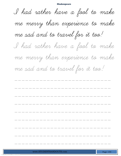I had rather have a fool to make me merry than experience to make me sad and to travel for it too! I had rather have a fool to make me merry than experience to make me sad and to travel for it too! \_\_\_\_\_\_\_\_\_\_\_\_\_\_\_\_\_\_\_\_\_\_\_\_\_\_\_ \_\_\_\_\_\_\_\_\_\_\_\_\_\_\_\_\_\_\_\_\_\_\_\_\_\_\_ \_\_\_\_\_\_\_\_\_\_\_\_\_\_\_\_\_\_\_\_\_\_\_\_\_\_\_ \_\_\_\_\_\_\_\_\_\_\_\_\_\_\_\_\_\_\_\_\_\_\_\_\_\_\_ \_\_\_\_\_\_\_\_\_\_\_\_\_\_\_\_\_\_\_\_\_\_\_\_\_\_\_ \_\_\_\_\_\_\_\_\_\_\_\_\_\_\_\_\_\_\_\_\_\_\_\_\_\_\_ \_\_\_\_\_\_\_\_\_\_\_\_\_\_\_\_\_\_\_\_\_\_\_\_\_\_\_ \_\_\_\_\_\_\_\_\_\_\_\_\_\_\_\_\_\_\_\_\_\_\_\_\_\_\_ \_\_\_\_\_\_\_\_\_\_\_\_\_\_\_\_\_\_\_\_\_\_\_\_\_\_\_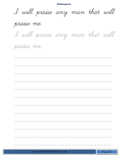I will praise any man that will

praise me.

I will praise any man that will

praise me.

| - -<br>- - |
|------------|
|            |
|            |
|            |
|            |
|            |
|            |
|            |
|            |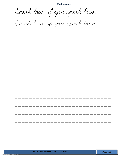Speak low, if you speak love.

Speak low, if you speak love.

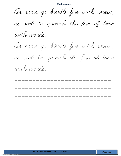As soon go kindle fire with snow, as seek to quench the fire of love

with words.

As soon go kindle fire with snow,

as seek to quench the fire of love

\_\_\_\_\_\_\_\_\_\_\_\_\_\_\_\_\_\_\_\_\_\_\_\_\_\_\_

\_\_\_\_\_\_\_\_\_\_\_\_\_\_\_\_\_\_\_\_\_\_\_\_\_\_\_

\_\_\_\_\_\_\_\_\_\_\_\_\_\_\_\_\_\_\_\_\_\_\_\_\_\_\_

\_\_\_\_\_\_\_\_\_\_\_\_\_\_\_\_\_\_\_\_\_\_\_\_\_\_\_

\_\_\_\_\_\_\_\_\_\_\_\_\_\_\_\_\_\_\_\_\_\_\_\_\_\_\_

\_\_\_\_\_\_\_\_\_\_\_\_\_\_\_\_\_\_\_\_\_\_\_\_\_\_\_

\_\_\_\_\_\_\_\_\_\_\_\_\_\_\_\_\_\_\_\_\_\_\_\_\_\_\_

\_\_\_\_\_\_\_\_\_\_\_\_\_\_\_\_\_\_\_\_\_\_\_\_\_\_\_

\_\_\_\_\_\_\_\_\_\_\_\_\_\_\_\_\_\_\_\_\_\_\_\_\_\_\_

with words.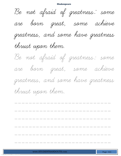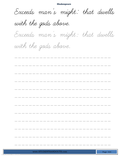Exceeds man's might: that dwells

with the gods above.



\_\_\_\_\_\_\_\_\_\_\_\_\_\_\_\_\_\_\_\_\_\_\_\_\_\_\_

\_\_\_\_\_\_\_\_\_\_\_\_\_\_\_\_\_\_\_\_\_\_\_\_\_\_\_

with the gods above.

\_\_\_\_\_\_\_\_\_\_\_\_\_\_\_\_\_\_\_\_\_\_\_\_\_\_\_ \_\_\_\_\_\_\_\_\_\_\_\_\_\_\_\_\_\_\_\_\_\_\_\_\_\_\_ \_\_\_\_\_\_\_\_\_\_\_\_\_\_\_\_\_\_\_\_\_\_\_\_\_\_\_ \_\_\_\_\_\_\_\_\_\_\_\_\_\_\_\_\_\_\_\_\_\_\_\_\_\_\_ \_\_\_\_\_\_\_\_\_\_\_\_\_\_\_\_\_\_\_\_\_\_\_\_\_\_\_ \_\_\_\_\_\_\_\_\_\_\_\_\_\_\_\_\_\_\_\_\_\_\_\_\_\_\_ \_\_\_\_\_\_\_\_\_\_\_\_\_\_\_\_\_\_\_\_\_\_\_\_\_\_\_ \_\_\_\_\_\_\_\_\_\_\_\_\_\_\_\_\_\_\_\_\_\_\_\_\_\_\_ \_\_\_\_\_\_\_\_\_\_\_\_\_\_\_\_\_\_\_\_\_\_\_\_\_\_\_ \_\_\_\_\_\_\_\_\_\_\_\_\_\_\_\_\_\_\_\_\_\_\_\_\_\_\_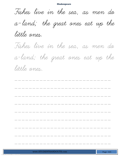Fishes live in the sea, as men do

a-land; the great ones eat up the

little ones.

Fishes live in the sea, as men do

a-land; the great ones eat up the

\_\_\_\_\_\_\_\_\_\_\_\_\_\_\_\_\_\_\_\_\_\_\_\_\_\_\_

\_\_\_\_\_\_\_\_\_\_\_\_\_\_\_\_\_\_\_\_\_\_\_\_\_\_\_

\_\_\_\_\_\_\_\_\_\_\_\_\_\_\_\_\_\_\_\_\_\_\_\_\_\_\_

\_\_\_\_\_\_\_\_\_\_\_\_\_\_\_\_\_\_\_\_\_\_\_\_\_\_\_

\_\_\_\_\_\_\_\_\_\_\_\_\_\_\_\_\_\_\_\_\_\_\_\_\_\_\_

\_\_\_\_\_\_\_\_\_\_\_\_\_\_\_\_\_\_\_\_\_\_\_\_\_\_\_

\_\_\_\_\_\_\_\_\_\_\_\_\_\_\_\_\_\_\_\_\_\_\_\_\_\_\_

\_\_\_\_\_\_\_\_\_\_\_\_\_\_\_\_\_\_\_\_\_\_\_\_\_\_\_

\_\_\_\_\_\_\_\_\_\_\_\_\_\_\_\_\_\_\_\_\_\_\_\_\_\_\_

little ones.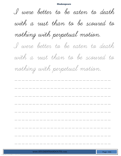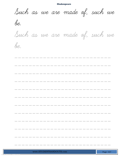Such as we are made of, such we

be.

Such as we are made of, such we

ke.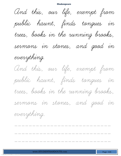

\_\_\_\_\_\_\_\_\_\_\_\_\_\_\_\_\_\_\_\_\_\_\_\_\_\_\_

\_\_\_\_\_\_\_\_\_\_\_\_\_\_\_\_\_\_\_\_\_\_\_\_\_\_\_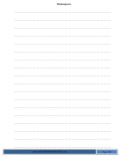dowstrondra chiatere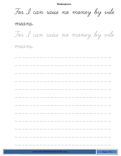For I can raise no money by vile

means.

For I can raise no money by vile

means.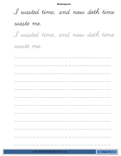I wasted time, and now doth time

waste me.

I wasted time, and now doth time

waste me.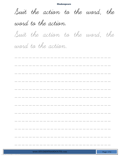Suit the action to the word, the word to the action.



word to the action.

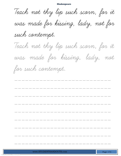Teach not thy lip such scorn, for it

was made for kissing, lady, not for

such contempt.

Teach not thy lip such scorn, for it

was made for kissing, lady, not

\_\_\_\_\_\_\_\_\_\_\_\_\_\_\_\_\_\_\_\_\_\_\_\_\_\_\_

\_\_\_\_\_\_\_\_\_\_\_\_\_\_\_\_\_\_\_\_\_\_\_\_\_\_\_

\_\_\_\_\_\_\_\_\_\_\_\_\_\_\_\_\_\_\_\_\_\_\_\_\_\_\_

\_\_\_\_\_\_\_\_\_\_\_\_\_\_\_\_\_\_\_\_\_\_\_\_\_\_\_

\_\_\_\_\_\_\_\_\_\_\_\_\_\_\_\_\_\_\_\_\_\_\_\_\_\_\_

\_\_\_\_\_\_\_\_\_\_\_\_\_\_\_\_\_\_\_\_\_\_\_\_\_\_\_

\_\_\_\_\_\_\_\_\_\_\_\_\_\_\_\_\_\_\_\_\_\_\_\_\_\_\_

\_\_\_\_\_\_\_\_\_\_\_\_\_\_\_\_\_\_\_\_\_\_\_\_\_\_\_

\_\_\_\_\_\_\_\_\_\_\_\_\_\_\_\_\_\_\_\_\_\_\_\_\_\_\_

for such contempt.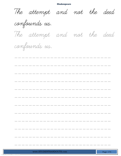The attempt and not the deed

confounds us.

The attempt and not the deed

confounds us.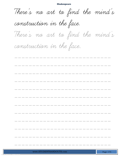**Shakespeare** There's no art to find the mind's construction in the face. There's no art to find the mind's construction in the face. \_\_\_\_\_\_\_\_\_\_\_\_\_\_\_\_\_\_\_\_\_\_\_\_\_\_\_ \_\_\_\_\_\_\_\_\_\_\_\_\_\_\_\_\_\_\_\_\_\_\_\_\_\_\_ \_\_\_\_\_\_\_\_\_\_\_\_\_\_\_\_\_\_\_\_\_\_\_\_\_\_\_ \_\_\_\_\_\_\_\_\_\_\_\_\_\_\_\_\_\_\_\_\_\_\_\_\_\_\_ \_\_\_\_\_\_\_\_\_\_\_\_\_\_\_\_\_\_\_\_\_\_\_\_\_\_\_ \_\_\_\_\_\_\_\_\_\_\_\_\_\_\_\_\_\_\_\_\_\_\_\_\_\_\_ \_\_\_\_\_\_\_\_\_\_\_\_\_\_\_\_\_\_\_\_\_\_\_\_\_\_\_ \_\_\_\_\_\_\_\_\_\_\_\_\_\_\_\_\_\_\_\_\_\_\_\_\_\_\_ \_\_\_\_\_\_\_\_\_\_\_\_\_\_\_\_\_\_\_\_\_\_\_\_\_\_\_ \_\_\_\_\_\_\_\_\_\_\_\_\_\_\_\_\_\_\_\_\_\_\_\_\_\_\_

\_\_\_\_\_\_\_\_\_\_\_\_\_\_\_\_\_\_\_\_\_\_\_\_\_\_\_

\_\_\_\_\_\_\_\_\_\_\_\_\_\_\_\_\_\_\_\_\_\_\_\_\_\_\_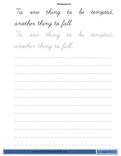'Tis one thing to be tempted,

another thing to fall.

'Tis one thing to be tempted,

\_\_\_\_\_\_\_\_\_\_\_\_\_\_\_\_\_\_\_\_\_\_\_\_\_\_\_

another thing to fall.

\_\_\_\_\_\_\_\_\_\_\_\_\_\_\_\_\_\_\_\_\_\_\_\_\_\_\_ \_\_\_\_\_\_\_\_\_\_\_\_\_\_\_\_\_\_\_\_\_\_\_\_\_\_\_ \_\_\_\_\_\_\_\_\_\_\_\_\_\_\_\_\_\_\_\_\_\_\_\_\_\_\_ \_\_\_\_\_\_\_\_\_\_\_\_\_\_\_\_\_\_\_\_\_\_\_\_\_\_\_ \_\_\_\_\_\_\_\_\_\_\_\_\_\_\_\_\_\_\_\_\_\_\_\_\_\_\_ \_\_\_\_\_\_\_\_\_\_\_\_\_\_\_\_\_\_\_\_\_\_\_\_\_\_\_ \_\_\_\_\_\_\_\_\_\_\_\_\_\_\_\_\_\_\_\_\_\_\_\_\_\_\_ \_\_\_\_\_\_\_\_\_\_\_\_\_\_\_\_\_\_\_\_\_\_\_\_\_\_\_ \_\_\_\_\_\_\_\_\_\_\_\_\_\_\_\_\_\_\_\_\_\_\_\_\_\_\_ \_\_\_\_\_\_\_\_\_\_\_\_\_\_\_\_\_\_\_\_\_\_\_\_\_\_\_ \_\_\_\_\_\_\_\_\_\_\_\_\_\_\_\_\_\_\_\_\_\_\_\_\_\_\_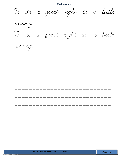To do a great right do a little

urong.

To do a great right do a little

wwang.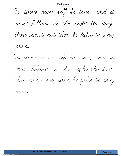To thine own self be true, and it must follow, as the night the day, thou canst not then be false to any man. To thine own self be true, and it

must follow, as the night the day,

thou canst not then be false to any

\_\_\_\_\_\_\_\_\_\_\_\_\_\_\_\_\_\_\_\_\_\_\_\_\_\_\_

\_\_\_\_\_\_\_\_\_\_\_\_\_\_\_\_\_\_\_\_\_\_\_\_\_\_\_

\_\_\_\_\_\_\_\_\_\_\_\_\_\_\_\_\_\_\_\_\_\_\_\_\_\_\_

\_\_\_\_\_\_\_\_\_\_\_\_\_\_\_\_\_\_\_\_\_\_\_\_\_\_\_

\_\_\_\_\_\_\_\_\_\_\_\_\_\_\_\_\_\_\_\_\_\_\_\_\_\_\_

\_\_\_\_\_\_\_\_\_\_\_\_\_\_\_\_\_\_\_\_\_\_\_\_\_\_\_

man.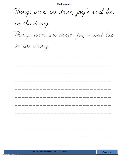Things wen are done, joy's soul lies

in the doing.

Things wen are dene, joy's soul lies

\_ \_\_ \_\_ \_\_ \_\_

-----------------

. \_\_ \_\_ \_\_ \_\_ \_\_ \_\_

---------------------------

- -- -

- - -

 $\overline{\phantom{a}}$  and  $\overline{\phantom{a}}$ 

\_ \_\_ \_\_ \_

- -- -- -- -- --

- -

in the doing.

- -- -- -

\_\_\_\_\_\_\_\_\_\_\_\_\_\_\_\_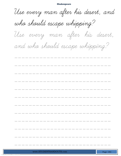**Shakespeare** Use every man after his desert, and who should escape whipping? Use every man after his desert, and who should escape whipping? \_\_\_\_\_\_\_\_\_\_\_\_\_\_\_\_\_\_\_\_\_\_\_\_\_\_\_ \_\_\_\_\_\_\_\_\_\_\_\_\_\_\_\_\_\_\_\_\_\_\_\_\_\_\_ \_\_\_\_\_\_\_\_\_\_\_\_\_\_\_\_\_\_\_\_\_\_\_\_\_\_\_ \_\_\_\_\_\_\_\_\_\_\_\_\_\_\_\_\_\_\_\_\_\_\_\_\_\_\_ \_\_\_\_\_\_\_\_\_\_\_\_\_\_\_\_\_\_\_\_\_\_\_\_\_\_\_ \_\_\_\_\_\_\_\_\_\_\_\_\_\_\_\_\_\_\_\_\_\_\_\_\_\_\_ \_\_\_\_\_\_\_\_\_\_\_\_\_\_\_\_\_\_\_\_\_\_\_\_\_\_\_ \_\_\_\_\_\_\_\_\_\_\_\_\_\_\_\_\_\_\_\_\_\_\_\_\_\_\_ \_\_\_\_\_\_\_\_\_\_\_\_\_\_\_\_\_\_\_\_\_\_\_\_\_\_\_

\_\_\_\_\_\_\_\_\_\_\_\_\_\_\_\_\_\_\_\_\_\_\_\_\_\_\_

\_\_\_\_\_\_\_\_\_\_\_\_\_\_\_\_\_\_\_\_\_\_\_\_\_\_\_

\_\_\_\_\_\_\_\_\_\_\_\_\_\_\_\_\_\_\_\_\_\_\_\_\_\_\_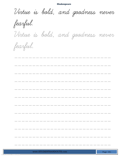Virtue is bold, and goodness never

fearful.

Virtue is bold, and goodness never

fearful.

www.STUDENTHANDOUTS.com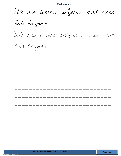We are time's subjects, and time

bids be gone.

We are time's subjects, and time

bids be gone.

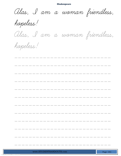Alas, I am a woman friendless,

hopeless!

alas, I am a woman friendless,

hopeless!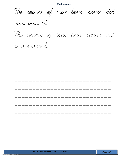**Shakespeare** The course of true love never did run smooth. The course of true love never did uin smaath. - -- -\_ \_\_ \_\_ \_\_ \_\_ \_\_ - - - - $\overline{a}$  $\overline{a}$  $\overline{\phantom{a}}$ - -- - $\sim$ - -- -- -- -- -- -- -- -- -- -- -- -- -- -\_ \_\_ \_\_ \_\_ \_\_ \_\_ \_\_

\_\_\_

- -- -- -- -- -- -- -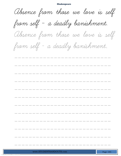Absence from those we love is self

from self - a deadly banishment.

Absence from those we love is self

from self - a deadly banishment.

\_\_\_\_\_\_\_\_\_\_\_\_\_\_\_\_\_\_\_\_\_\_\_\_\_\_\_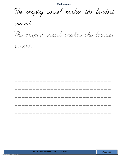The empty vessel makes the loudest

sound.

The empty vessel makes the loudest

sound.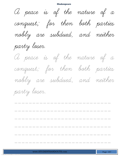A peace is of the nature of a conquest; for then both parties nobly are subdued, and neither party loser. A peace is of the nature of a conquest; for then both parties nobly are subdued, and neither party loser. \_\_\_\_\_\_\_\_\_\_\_\_\_\_\_\_\_\_\_\_\_\_\_\_\_\_\_ \_\_\_\_\_\_\_\_\_\_\_\_\_\_\_\_\_\_\_\_\_\_\_\_\_\_\_ \_\_\_\_\_\_\_\_\_\_\_\_\_\_\_\_\_\_\_\_\_\_\_\_\_\_\_ \_\_\_\_\_\_\_\_\_\_\_\_\_\_\_\_\_\_\_\_\_\_\_\_\_\_\_ \_\_\_\_\_\_\_\_\_\_\_\_\_\_\_\_\_\_\_\_\_\_\_\_\_\_\_

\_\_\_\_\_\_\_\_\_\_\_\_\_\_\_\_\_\_\_\_\_\_\_\_\_\_\_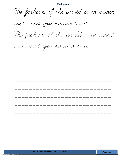The fashion of the world is to avoid cost, and you encounter it.

The fashion of the world is to avoid

\_\_\_\_\_\_\_\_\_\_\_\_\_\_\_\_\_\_\_\_\_\_\_\_\_\_\_

\_\_\_\_\_\_\_\_\_\_\_\_\_\_\_\_\_\_\_\_\_\_\_\_\_\_\_

\_\_\_\_\_\_\_\_\_\_\_\_\_\_\_\_\_\_\_\_\_\_\_\_\_\_\_

\_\_\_\_\_\_\_\_\_\_\_\_\_\_\_\_\_\_\_\_\_\_\_\_\_\_\_

\_\_\_\_\_\_\_\_\_\_\_\_\_\_\_\_\_\_\_\_\_\_\_\_\_\_\_

\_\_\_\_\_\_\_\_\_\_\_\_\_\_\_\_\_\_\_\_\_\_\_\_\_\_\_

\_\_\_\_\_\_\_\_\_\_\_\_\_\_\_\_\_\_\_\_\_\_\_\_\_\_\_\_\_\_\_\_\_\_\_

\_\_\_\_\_\_\_\_\_\_\_\_\_\_\_\_\_\_\_\_\_\_\_\_\_\_\_

\_\_\_\_\_\_\_\_\_\_\_\_\_\_\_\_\_\_\_\_\_\_\_\_\_\_\_

\_\_\_\_\_\_\_\_\_\_\_\_\_\_\_\_\_\_\_\_\_\_\_\_\_\_\_

\_\_\_\_\_\_\_\_\_\_\_\_\_\_\_\_\_\_\_\_\_\_\_\_\_\_\_

\_\_\_\_\_\_\_\_\_\_\_\_\_\_\_\_\_\_\_\_\_\_\_\_\_\_\_

cost, and you encounter it.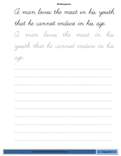A man loves the meat in his youth that he cannot endure in his age. A man loves the meat in his youth that he cannot endure in his age. \_\_\_\_\_\_\_\_\_\_\_\_\_\_\_\_\_\_\_\_\_\_\_\_\_\_\_ \_\_\_\_\_\_\_\_\_\_\_\_\_\_\_\_\_\_\_\_\_\_\_\_\_\_\_ \_\_\_\_\_\_\_\_\_\_\_\_\_\_\_\_\_\_\_\_\_\_\_\_\_\_\_ \_\_\_\_\_\_\_\_\_\_\_\_\_\_\_\_\_\_\_\_\_\_\_\_\_\_\_ \_\_\_\_\_\_\_\_\_\_\_\_\_\_\_\_\_\_\_\_\_\_\_\_\_\_\_ \_\_\_\_\_\_\_\_\_\_\_\_\_\_\_\_\_\_\_\_\_\_\_\_\_\_\_ \_\_\_\_\_\_\_\_\_\_\_\_\_\_\_\_\_\_\_\_\_\_\_\_\_\_\_ \_\_\_\_\_\_\_\_\_\_\_\_\_\_\_\_\_\_\_\_\_\_\_\_\_\_\_ \_\_\_\_\_\_\_\_\_\_\_\_\_\_\_\_\_\_\_\_\_\_\_\_\_\_\_ \_\_\_\_\_\_\_\_\_\_\_\_\_\_\_\_\_\_\_\_\_\_\_\_\_\_\_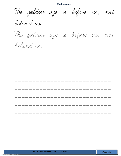The golden age is before us, not

behind us.

The golden age is before us, not

behind us.

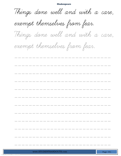Things done well and with a care,

exempt themselves from fear.



\_\_\_\_\_\_\_\_\_\_\_\_\_\_\_\_\_\_\_\_\_\_\_\_\_\_\_

\_\_\_\_\_\_\_\_\_\_\_\_\_\_\_\_\_\_\_\_\_\_\_\_\_\_\_

\_\_\_\_\_\_\_\_\_\_\_\_\_\_\_\_\_\_\_\_\_\_\_\_\_\_\_

\_\_\_\_\_\_\_\_\_\_\_\_\_\_\_\_\_\_\_\_\_\_\_\_\_\_\_

\_\_\_\_\_\_\_\_\_\_\_\_\_\_\_\_\_\_\_\_\_\_\_\_\_\_\_

\_\_\_\_\_\_\_\_\_\_\_\_\_\_\_\_\_\_\_\_\_\_\_\_\_\_\_

\_\_\_\_\_\_\_\_\_\_\_\_\_\_\_\_\_\_\_\_\_\_\_\_\_\_\_

\_\_\_\_\_\_\_\_\_\_\_\_\_\_\_\_\_\_\_\_\_\_\_\_\_\_\_

\_\_\_\_\_\_\_\_\_\_\_\_\_\_\_\_\_\_\_\_\_\_\_\_\_\_\_

\_\_\_\_\_\_\_\_\_\_\_\_\_\_\_\_\_\_\_\_\_\_\_\_\_\_\_

\_\_\_\_\_\_\_\_\_\_\_\_\_\_\_\_\_\_\_\_\_\_\_\_\_\_\_

\_\_\_\_\_\_\_\_\_\_\_\_\_\_\_\_\_\_\_\_\_\_\_\_\_\_\_

exempt themselves from fear.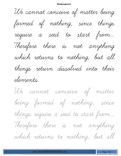We cannot conceive of matter being formed of nothing, since things require a seed to start from... Therefore there is not anything which returns to nothing, but all things return dissolved into their elements. We cannot conceive of matter being formed of nothing, since things require a seed to start from... Therefore there is not anything which returns to nothing, but all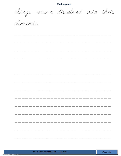things return dissolved into their<br>elements.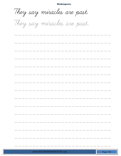They say miracles are past.

They say miracles are past.

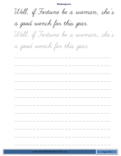**Shakespeare** Well, if Fortune be a woman, she's a good wench for this gear. Well, if Fortune be a woman, she's a good wench for this gear. \_\_\_\_\_\_\_\_\_\_\_\_\_\_\_\_\_\_\_\_\_\_\_\_\_\_\_ \_\_\_\_\_\_\_\_\_\_\_\_\_\_\_\_\_\_\_\_\_\_\_\_\_\_\_

\_\_\_\_\_\_\_\_\_\_\_\_\_\_\_\_\_\_\_\_\_\_\_\_\_\_\_

\_\_\_\_\_\_\_\_\_\_\_\_\_\_\_\_\_\_\_\_\_\_\_\_\_\_\_

\_\_\_\_\_\_\_\_\_\_\_\_\_\_\_\_\_\_\_\_\_\_\_\_\_\_\_

\_\_\_\_\_\_\_\_\_\_\_\_\_\_\_\_\_\_\_\_\_\_\_\_\_\_\_

\_\_\_\_\_\_\_\_\_\_\_\_\_\_\_\_\_\_\_\_\_\_\_\_\_\_\_

\_\_\_\_\_\_\_\_\_\_\_\_\_\_\_\_\_\_\_\_\_\_\_\_\_\_\_

\_\_\_\_\_\_\_\_\_\_\_\_\_\_\_\_\_\_\_\_\_\_\_\_\_\_\_

\_\_\_\_\_\_\_\_\_\_\_\_\_\_\_\_\_\_\_\_\_\_\_\_\_\_\_

\_\_\_\_\_\_\_\_\_\_\_\_\_\_\_\_\_\_\_\_\_\_\_\_\_\_\_

\_\_\_\_\_\_\_\_\_\_\_\_\_\_\_\_\_\_\_\_\_\_\_\_\_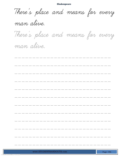There's place and means for every

man alive.

There's place and means for every

man aline.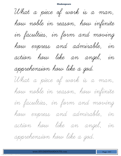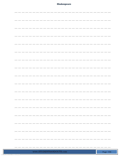dowstrondra chiatere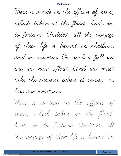There is a tide in the affairs of men, which taken at the flood, leads on to fortune. Omitted, all the voyage of their life is bound in shallows and in miseries. On such a full sea are we now afloat. And we must take the current when it serves, or lose our ventures. There is a tide in the affairs of men, which taken at the flood, leads on to fortune. Omitted, all the voyage of their life is bound in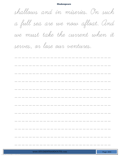shallows and in miseries. On such a full sea are we now afloat. And we must take the current when it serves, or lose our ventures. \_\_\_\_\_\_\_\_\_\_\_\_\_\_\_\_\_\_\_\_\_\_\_\_\_\_\_ \_\_\_\_\_\_\_\_\_\_\_\_\_\_\_\_\_\_\_\_\_\_\_\_\_\_\_ \_\_\_\_\_\_\_\_\_\_\_\_\_\_\_\_\_\_\_\_\_\_\_\_\_\_\_ \_\_\_\_\_\_\_\_\_\_\_\_\_\_\_\_\_\_\_\_\_\_\_\_\_\_\_ \_\_\_\_\_\_\_\_\_\_\_\_\_\_\_\_\_\_\_\_\_\_\_\_\_\_\_ \_\_\_\_\_\_\_\_\_\_\_\_\_\_\_\_\_\_\_\_\_\_\_\_\_\_\_ \_\_\_\_\_\_\_\_\_\_\_\_\_\_\_\_\_\_\_\_\_\_\_\_\_\_\_ \_\_\_\_\_\_\_\_\_\_\_\_\_\_\_\_\_\_\_\_\_\_\_\_\_\_\_ \_\_\_\_\_\_\_\_\_\_\_\_\_\_\_\_\_\_\_\_\_\_\_\_\_\_\_ \_\_\_\_\_\_\_\_\_\_\_\_\_\_\_\_\_\_\_\_\_\_\_\_\_\_\_ \_\_\_\_\_\_\_\_\_\_\_\_\_\_\_\_\_\_\_\_\_\_\_\_\_\_\_ \_\_\_\_\_\_\_\_\_\_\_\_\_\_\_\_\_\_\_\_\_\_\_\_\_\_\_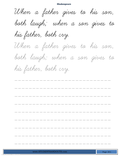**Shakespeare** When a father gives to his son, both laugh; when a son gives to his father, both cry. When a father gives to his son, both laugh; when a son gives to his father, both cry. \_\_\_\_\_\_\_\_\_\_\_\_\_\_\_\_\_\_\_\_\_\_\_\_\_\_\_ \_\_\_\_\_\_\_\_\_\_\_\_\_\_\_\_\_\_\_\_\_\_\_\_\_\_\_ \_\_\_\_\_\_\_\_\_\_\_\_\_\_\_\_\_\_\_\_\_\_\_\_\_\_\_ \_\_\_\_\_\_\_\_\_\_\_\_\_\_\_\_\_\_\_\_\_\_\_\_\_\_\_ \_\_\_\_\_\_\_\_\_\_\_\_\_\_\_\_\_\_\_\_\_\_\_\_\_\_\_ \_\_\_\_\_\_\_\_\_\_\_\_\_\_\_\_\_\_\_\_\_\_\_\_\_\_\_

\_\_\_\_\_\_\_\_\_\_\_\_\_\_\_\_\_\_\_\_\_\_\_\_\_\_\_

\_\_\_\_\_\_\_\_\_\_\_\_\_\_\_\_\_\_\_\_\_\_\_\_\_\_\_

\_\_\_\_\_\_\_\_\_\_\_\_\_\_\_\_\_\_\_\_\_\_\_\_\_\_\_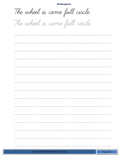The wheel is come full circle.

The wheel is come full circle.

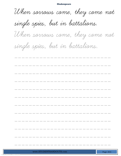When sorrows come, they come not single spies, but in battalions. When sorrows come, they come not single spies, but in battalions. \_\_\_\_\_\_\_\_\_\_\_\_\_\_\_\_\_\_\_\_\_\_\_\_\_\_\_ \_\_\_\_\_\_\_\_\_\_\_\_\_\_\_\_\_\_\_\_\_\_\_\_\_\_\_ \_\_\_\_\_\_\_\_\_\_\_\_\_\_\_\_\_\_\_\_\_\_\_\_\_\_\_ \_\_\_\_\_\_\_\_\_\_\_\_\_\_\_\_\_\_\_\_\_\_\_\_\_\_\_ \_\_\_\_\_\_\_\_\_\_\_\_\_\_\_\_\_\_\_\_\_\_\_\_\_\_\_ \_\_\_\_\_\_\_\_\_\_\_\_\_\_\_\_\_\_\_\_\_\_\_\_\_\_\_ \_\_\_\_\_\_\_\_\_\_\_\_\_\_\_\_\_\_\_\_\_\_\_\_\_\_\_ \_\_\_\_\_\_\_\_\_\_\_\_\_\_\_\_\_\_\_\_\_\_\_\_\_\_\_ \_\_\_\_\_\_\_\_\_\_\_\_\_\_\_\_\_\_\_\_\_\_\_\_\_\_\_ \_\_\_\_\_\_\_\_\_\_\_\_\_\_\_\_\_\_\_\_\_\_\_\_\_\_\_ \_\_\_\_\_\_\_\_\_\_\_\_\_\_\_\_\_\_\_\_\_\_\_\_\_\_\_ \_\_\_\_\_\_\_\_\_\_\_\_\_\_\_\_\_\_\_\_\_\_\_\_\_\_\_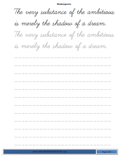The verry substance of the ambitious is merely the shadow of a dream. The very substance of the ambitious is merely the shadow of a dream. \_\_\_\_\_\_\_\_\_\_\_\_\_\_\_\_\_\_\_\_\_\_\_\_\_\_\_ \_\_\_\_\_\_\_\_\_\_\_\_\_\_\_\_\_\_\_\_\_\_\_\_\_\_\_ \_\_\_\_\_\_\_\_\_\_\_\_\_\_\_\_\_\_\_\_\_\_\_\_\_\_\_ \_\_\_\_\_\_\_\_\_\_\_\_\_\_\_\_\_\_\_\_\_\_\_\_\_\_\_ \_\_\_\_\_\_\_\_\_\_\_\_\_\_\_\_\_\_\_\_\_\_\_\_\_\_\_ \_\_\_\_\_\_\_\_\_\_\_\_\_\_\_\_\_\_\_\_\_\_\_\_\_\_\_ \_\_\_\_\_\_\_\_\_\_\_\_\_\_\_\_\_\_\_\_\_\_\_\_\_\_\_\_\_\_\_\_\_\_\_ \_\_\_\_\_\_\_\_\_\_\_\_\_\_\_\_\_\_\_\_\_\_\_\_\_\_\_ \_\_\_\_\_\_\_\_\_\_\_\_\_\_\_\_\_\_\_\_\_\_\_\_\_\_\_ \_\_\_\_\_\_\_\_\_\_\_\_\_\_\_\_\_\_\_\_\_\_\_\_\_\_\_ \_\_\_\_\_\_\_\_\_\_\_\_\_\_\_\_\_\_\_\_\_\_\_\_\_\_\_ \_\_\_\_\_\_\_\_\_\_\_\_\_\_\_\_\_\_\_\_\_\_\_\_\_\_\_

www.STUDENTHANDOUTS.com Page 204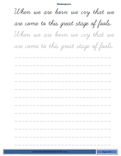When we are born we cry that we are come to this great stage of fools. When we are born we cry that we are come to this great stage of fools. \_\_\_\_\_\_\_\_\_\_\_\_\_\_\_\_\_\_\_\_\_\_\_\_\_\_\_ \_\_\_\_\_\_\_\_\_\_\_\_\_\_\_\_\_\_\_\_\_\_\_\_\_\_\_ \_\_\_\_\_\_\_\_\_\_\_\_\_\_\_\_\_\_\_\_\_\_\_\_\_\_\_ \_\_\_\_\_\_\_\_\_\_\_\_\_\_\_\_\_\_\_\_\_\_\_\_\_\_\_ \_\_\_\_\_\_\_\_\_\_\_\_\_\_\_\_\_\_\_\_\_\_\_\_\_\_\_ \_\_\_\_\_\_\_\_\_\_\_\_\_\_\_\_\_\_\_\_\_\_\_\_\_\_\_ \_\_\_\_\_\_\_\_\_\_\_\_\_\_\_\_\_\_\_\_\_\_\_\_ \_\_\_\_\_\_\_\_\_\_\_\_\_\_\_\_\_\_\_\_\_\_\_\_\_\_\_ \_\_\_\_\_\_\_\_\_\_\_\_\_\_\_\_\_\_\_\_\_\_\_\_\_\_\_ \_\_\_\_\_\_\_\_\_\_\_\_\_\_\_\_\_\_\_\_\_\_\_\_\_\_\_ \_\_\_\_\_\_\_\_\_\_\_\_\_\_\_\_\_\_\_\_\_\_\_\_\_\_\_ \_\_\_\_\_\_\_\_\_\_\_\_\_\_\_\_\_\_\_\_\_\_\_\_\_\_\_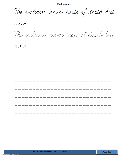The valiant never taste of death but

once.

The valiant never taste of death but

once.

|  | - -<br>- 11<br>$\sim$       |         |
|--|-----------------------------|---------|
|  |                             |         |
|  | - -- -<br>- -<br>- -<br>- - | تنازلها |
|  |                             |         |
|  |                             |         |
|  |                             |         |
|  |                             |         |
|  |                             |         |
|  |                             |         |
|  |                             |         |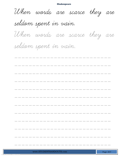

\_\_\_\_\_\_\_\_\_\_\_\_\_\_\_\_\_\_\_\_\_\_\_\_\_\_\_

\_\_\_\_\_\_\_\_\_\_\_\_\_\_\_\_\_\_\_\_\_\_\_\_\_\_\_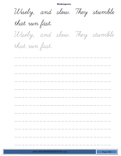Wisely, and slow. They stumble

that run fast.



Wisely, and slow. They stumble

that um fast.

- - -\_ \_\_ \_ <u>. .</u> ---------------------------\_ \_\_ \_\_ \_\_ \_ - -- -- -- --- - -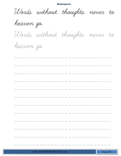Words without thoughts never to

heaven go.

Words without thoughts never to

heaven go.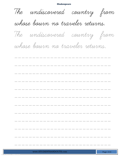The undiscovered country from

whose bourn no traveler returns.

The undiscovered country from

\_\_\_\_\_\_\_\_\_\_\_\_\_\_\_\_\_\_\_\_\_\_\_\_\_\_\_

\_\_\_\_\_\_\_\_\_\_\_\_\_\_\_\_\_\_\_\_\_\_\_\_\_\_\_

whose bourn no traveler returns.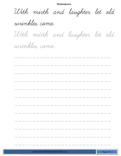With mirth and laughter let old

wrinkles come.

With mirth and laughter let old

\_\_\_\_\_\_\_\_\_\_\_\_\_\_\_\_\_\_\_\_\_\_\_\_\_\_\_

wrinkles come.

\_\_\_\_\_\_\_\_\_\_\_\_\_\_\_\_\_\_\_\_\_\_\_\_\_\_\_ \_\_\_\_\_\_\_\_\_\_\_\_\_\_\_\_\_\_\_\_\_\_\_\_\_\_\_ \_\_\_\_\_\_\_\_\_\_\_\_\_\_\_\_\_\_\_\_\_\_\_\_\_\_\_ \_\_\_\_\_\_\_\_\_\_\_\_\_\_\_\_\_\_\_\_\_\_\_\_\_\_\_ \_\_\_\_\_\_\_\_\_\_\_\_\_\_\_\_\_\_\_\_\_\_\_\_\_\_\_ \_\_\_\_\_\_\_\_\_\_\_\_\_\_\_\_\_\_\_\_\_\_\_\_\_\_\_ \_\_\_\_\_\_\_\_\_\_\_\_\_\_\_\_\_\_\_\_\_\_\_\_\_\_\_ \_\_\_\_\_\_\_\_\_\_\_\_\_\_\_\_\_\_\_\_\_\_\_\_\_\_\_ \_\_\_\_\_\_\_\_\_\_\_\_\_\_\_\_\_\_\_\_\_\_\_\_\_\_\_ \_\_\_\_\_\_\_\_\_\_\_\_\_\_\_\_\_\_\_\_\_\_\_\_\_\_\_ \_\_\_\_\_\_\_\_\_\_\_\_\_\_\_\_\_\_\_\_\_\_\_\_\_\_\_